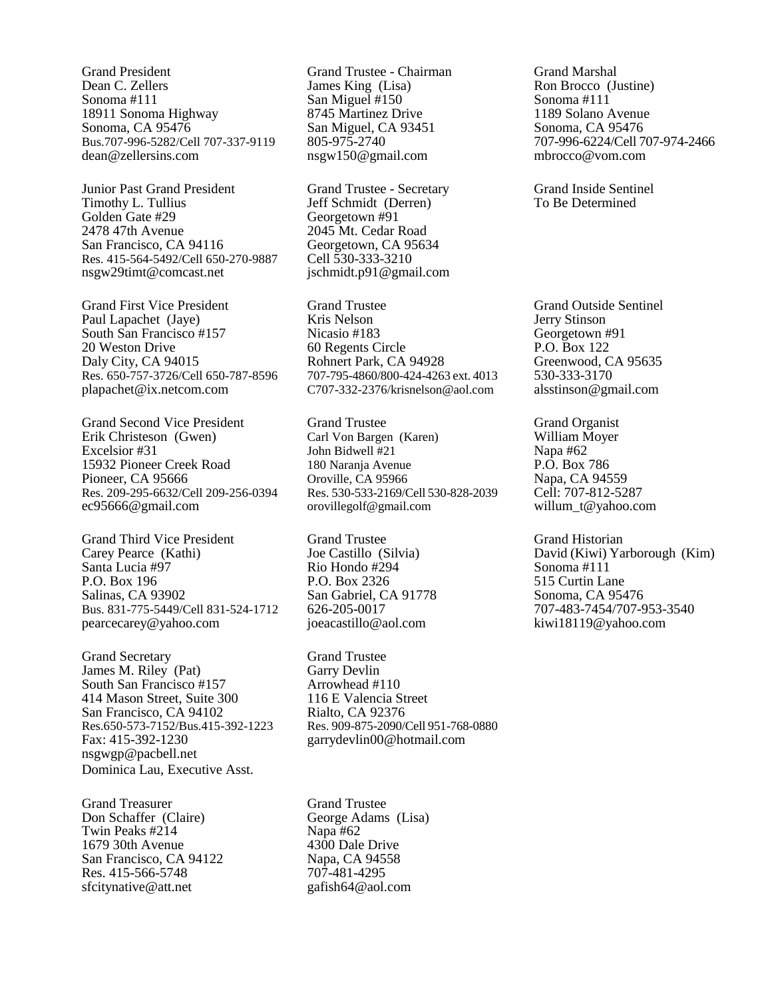Grand President Dean C. Zellers Sonoma #111 18911 Sonoma Highway Sonoma, CA 95476 Bus.707-996-5282/Cell 707-337-9119 dean@zellersins.com

Junior Past Grand President Timothy L. Tullius Golden Gate #29 2478 47th Avenue San Francisco, CA 94116 Res. 415-564-5492/Cell 650-270-9887 nsgw29timt@comcast.net

Grand First Vice President Paul Lapachet (Jaye) South San Francisco #157 20 Weston Drive Daly City, CA 94015 Res. 650-757-3726/Cell 650-787-8596 plapachet@ix.netcom.com

Grand Second Vice President Erik Christeson (Gwen) Excelsior #31 15932 Pioneer Creek Road Pioneer, CA 95666 Res. 209-295-6632/Cell 209-256-0394 ec95666@gmail.com

Grand Third Vice President Carey Pearce (Kathi) Santa Lucia #97 P.O. Box 196 Salinas, CA 93902 Bus. 831-775-5449/Cell 831-524-1712 pearcecarey@yahoo.com

Grand Secretary James M. Riley (Pat) South San Francisco #157 414 Mason Street, Suite 300 San Francisco, CA 94102 Res.650-573-7152/Bus.415-392-1223 Fax: 415-392-1230 nsgwgp@pacbell.net Dominica Lau, Executive Asst.

Grand Treasurer Don Schaffer (Claire) Twin Peaks #214 1679 30th Avenue San Francisco, CA 94122 Res. 415-566-5748 sfcitynative@att.net

Grand Trustee - Chairman James King (Lisa) San Miguel #150 8745 Martinez Drive San Miguel, CA 93451 805-975-2740 nsgw150@gmail.com

Grand Trustee - Secretary Jeff Schmidt (Derren) Georgetown #91 2045 Mt. Cedar Road Georgetown, CA 95634 Cell 530-333-3210 jschmidt.p91@gmail.com

Grand Trustee Kris Nelson Nicasio #183 60 Regents Circle Rohnert Park, CA 94928 707-795-4860/800-424-4263 ext. 4013 C707-332-2376/krisnelson@aol.com

Grand Trustee Carl Von Bargen (Karen) John Bidwell #21 180 Naranja Avenue Oroville, CA 95966 Res. 530-533-2169/Cell 530-828-2039 orovillegolf@gmail.com

Grand Trustee Joe Castillo (Silvia) Rio Hondo #294 P.O. Box 2326 San Gabriel, CA 91778 626-205-0017 [joeacastillo@aol.com](mailto:joeacastillo@aol.com)

Grand Trustee Garry Devlin Arrowhead #110 116 E Valencia Street Rialto, CA 92376 Res. 909-875-2090/Cell 951-768-0880 garrydevlin00@hotmail.com

Grand Trustee George Adams (Lisa) Napa #62 4300 Dale Drive Napa, CA 94558 707-481-4295 gafish64@aol.com

Grand Marshal Ron Brocco (Justine) Sonoma #111 1189 Solano Avenue Sonoma, CA 95476 707-996-6224/Cell 707-974-2466 mbrocco@vom.com

Grand Inside Sentinel To Be Determined

Grand Outside Sentinel Jerry Stinson Georgetown #91 P.O. Box 122 Greenwood, CA 95635 530-333-3170 alsstinson@gmail.com

Grand Organist William Moyer Napa #62 P.O. Box 786 Napa, CA 94559 Cell: 707-812-5287 willum\_t@yahoo.com

Grand Historian David (Kiwi) Yarborough (Kim) Sonoma #111 515 Curtin Lane Sonoma, CA 95476 707-483-7454/707-953-3540 kiwi18119@yahoo.com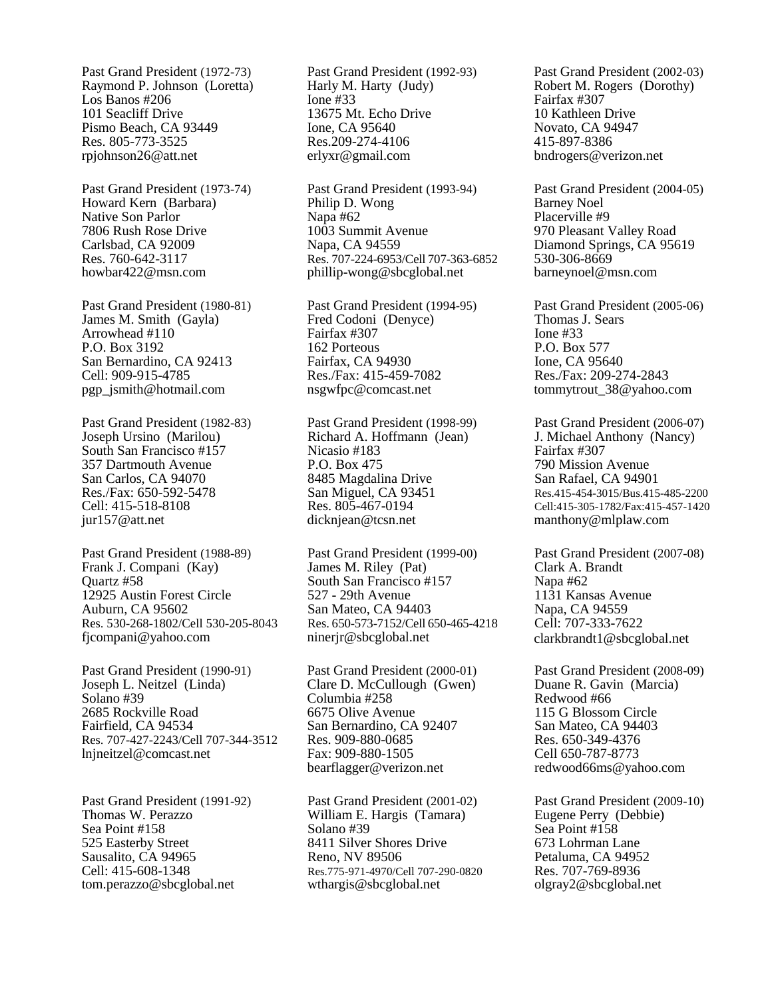Past Grand President (1972-73) Raymond P. Johnson (Loretta) Los Banos #206 101 Seacliff Drive Pismo Beach, CA 93449 Res. 805-773-3525 rpjohnson26@att.net

Past Grand President (1973-74) Howard Kern (Barbara) Native Son Parlor 7806 Rush Rose Drive Carlsbad, CA 92009 Res. 760-642-3117 howbar422@msn.com

Past Grand President (1980-81) James M. Smith (Gayla) Arrowhead #110 P.O. Box 3192 San Bernardino, CA 92413 Cell: 909-915-4785 pgp\_jsmith@hotmail.com

Past Grand President (1982-83) Joseph Ursino (Marilou) South San Francisco #157 357 Dartmouth Avenue San Carlos, CA 94070 Res./Fax: 650-592-5478 Cell: 415-518-8108 jur157@att.net

Past Grand President (1988-89) Frank J. Compani (Kay) Quartz #58 12925 Austin Forest Circle Auburn, CA 95602 Res. 530-268-1802/Cell 530-205-8043 fjcompani@yahoo.com

Past Grand President (1990-91) Joseph L. Neitzel (Linda) Solano #39 2685 Rockville Road Fairfield, CA 94534 Res. 707-427-2243/Cell 707-344-3512 lnjneitzel@comcast.net

Past Grand President (1991-92) Thomas W. Perazzo Sea Point #158 525 Easterby Street Sausalito, CA 94965 Cell: 415-608-1348 tom.perazzo@sbcglobal.net

Past Grand President (1992-93) Harly M. Harty (Judy) Ione #33 13675 Mt. Echo Drive Ione, CA 95640 Res.209-274-4106 erlyxr@gmail.com

Past Grand President (1993-94) Philip D. Wong Napa #62 1003 Summit Avenue Napa, CA 94559 Res. 707-224-6953/Cell 707-363-6852 phillip-wong@sbcglobal.net

Past Grand President (1994-95) Fred Codoni (Denyce) Fairfax #307 162 Porteous Fairfax, CA 94930 Res./Fax: 415-459-7082 [nsgwfpc@comcast.net](mailto:nsgwfpc@comcast.net)

Past Grand President (1998-99) Richard A. Hoffmann (Jean) Nicasio #183 P.O. Box 475 8485 Magdalina Drive San Miguel, CA 93451 Res. 805-467-0194 [dicknjean@tcsn.net](mailto:dicknjean@tcsn.net)

Past Grand President (1999-00) James M. Riley (Pat) South San Francisco #157 527 - 29th Avenue San Mateo, CA 94403 Res. 650-573-7152/Cell 650-465-4218 [ninerjr@sbcglobal.net](mailto:ninerjr@sbcglobal.net)

Past Grand President (2000-01) Clare D. McCullough (Gwen) Columbia #258 6675 Olive Avenue San Bernardino, CA 92407 Res. 909-880-0685 Fax: 909-880-1505 bearflagger@verizon.net

Past Grand President (2001-02) William E. Hargis (Tamara) Solano #39 8411 Silver Shores Drive Reno, NV 89506 Res.775-971-4970/Cell 707-290-0820 wthargis@sbcglobal.net

Past Grand President (2002-03) Robert M. Rogers (Dorothy) Fairfax #307 10 Kathleen Drive Novato, CA 94947 415-897-8386 [bndrogers@verizon.net](mailto:bndrogers@verizon.net)

Past Grand President (2004-05) Barney Noel Placerville #9 970 Pleasant Valley Road Diamond Springs, CA 95619 530-306-8669 barneynoel@msn.com

Past Grand President (2005-06) Thomas J. Sears Ione #33 P.O. Box 577 Ione, CA 95640 Res./Fax: 209-274-2843 tommytrout\_38@yahoo.com

Past Grand President (2006-07) J. Michael Anthony (Nancy) Fairfax #307 790 Mission Avenue San Rafael, CA 94901 Res.415-454-3015/Bus.415-485-2200 Cell:415-305-1782/Fax:415-457-1420 [manthony@mlplaw.com](mailto:manthony@mlplaw.com)

Past Grand President (2007-08) Clark A. Brandt Napa #62 1131 Kansas Avenue Napa, CA 94559 Cell: 707-333-7622 clarkbrandt1@sbcglobal.net

Past Grand President (2008-09) Duane R. Gavin (Marcia) Redwood #66 115 G Blossom Circle San Mateo, CA 94403 Res. 650-349-4376 Cell 650-787-8773 redwood66ms@yahoo.com

Past Grand President (2009-10) Eugene Perry (Debbie) Sea Point #158 673 Lohrman Lane Petaluma, CA 94952 Res. 707-769-8936 olgray2@sbcglobal.net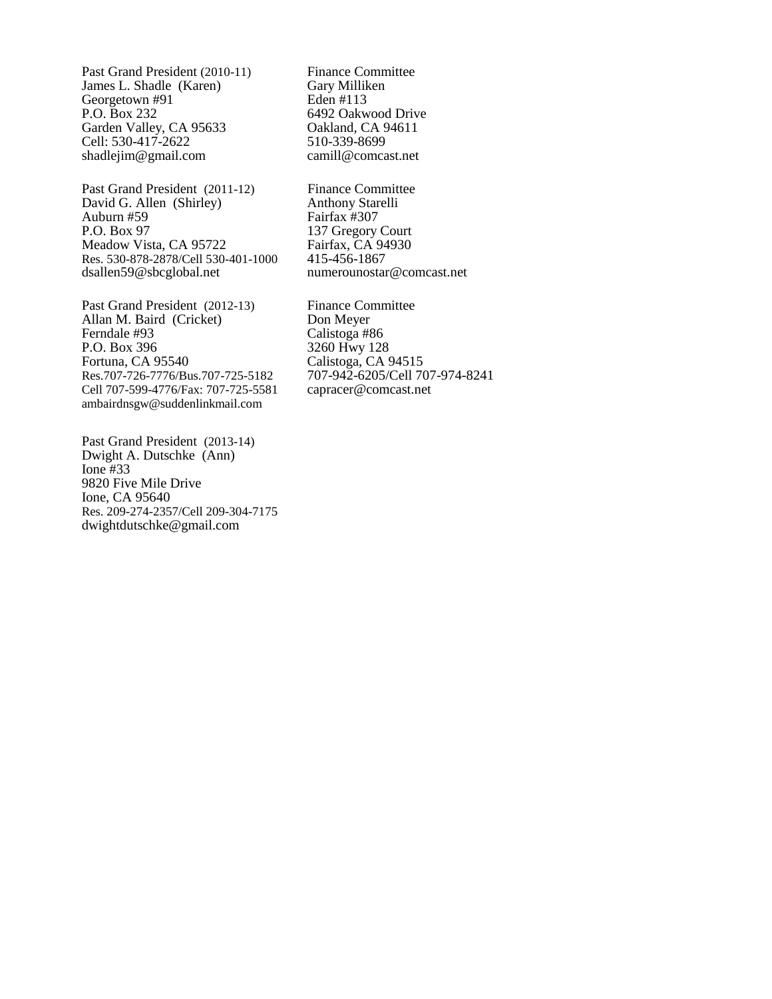Past Grand President (2010-11) James L. Shadle (Karen) Georgetown #91 P.O. Box 232 Garden Valley, CA 95633 Cell: 530-417-2622 shadlejim@gmail.com

Past Grand President (2011-12) David G. Allen (Shirley) Auburn #59 P.O. Box 97 Meadow Vista, CA 95722 Res. 530-878-2878/Cell 530-401-1000 dsallen59@sbcglobal.net

Past Grand President (2012-13) Allan M. Baird (Cricket) Ferndale #93 P.O. Box 396 Fortuna, CA 95540 Res.707-726-7776/Bus.707-725-5182 Cell 707-599-4776/Fax: 707-725-5581 ambairdnsgw@suddenlinkmail.com

Past Grand President (2013-14) Dwight A. Dutschke (Ann) Ione #33 9820 Five Mile Drive Ione, CA 95640 Res. 209-274-2357/Cell 209-304-7175 dwightdutschke@gmail.com

Finance Committee Gary Milliken Eden #113 6492 Oakwood Drive Oakland, CA 94611 510-339-8699 camill@comcast.net

Finance Committee Anthony Starelli Fairfax #307 137 Gregory Court Fairfax, CA 94930 415-456-1867 numerounostar@comcast.net

Finance Committee Don Meyer Calistoga #86 3260 Hwy 128 Calistoga, CA 94515 707-942-6205/Cell 707-974-8241 capracer@comcast.net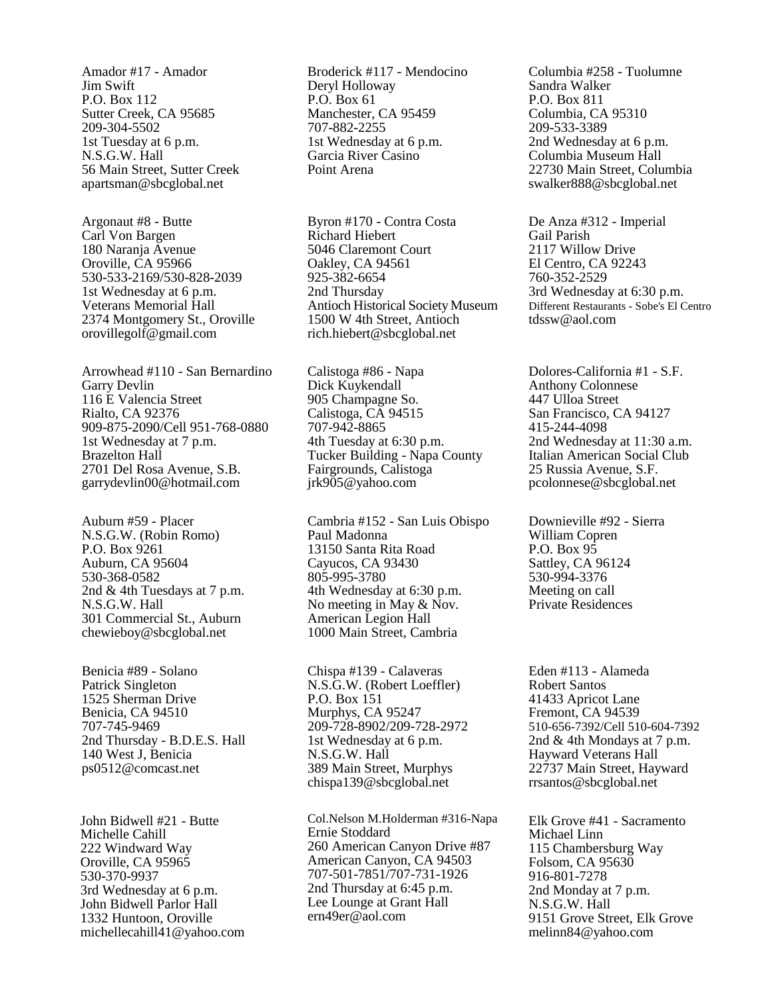Amador #17 - Amador Jim Swift P.O. Box 112 Sutter Creek, CA 95685 209-304-5502 1st Tuesday at 6 p.m. N.S.G.W. Hall 56 Main Street, Sutter Creek [apartsman@sbcglobal.net](mailto:apartsman@sbcglobal.net)

Argonaut #8 - Butte Carl Von Bargen 180 Naranja Avenue Oroville, CA 95966 530-533-2169/530-828-2039 1st Wednesday at 6 p.m. Veterans Memorial Hall 2374 Montgomery St., Oroville orovillegolf@gmail.com

Arrowhead #110 - San Bernardino Garry Devlin 116 E Valencia Street Rialto, CA 92376 909-875-2090/Cell 951-768-0880 1st Wednesday at 7 p.m. Brazelton Hall 2701 Del Rosa Avenue, S.B. garrydevlin00@hotmail.com

Auburn #59 - Placer N.S.G.W. (Robin Romo) P.O. Box 9261 Auburn, CA 95604 530-368-0582 2nd & 4th Tuesdays at 7 p.m. N.S.G.W. Hall 301 Commercial St., Auburn chewieboy@sbcglobal.net

Benicia #89 - Solano Patrick Singleton 1525 Sherman Drive Benicia, CA 94510 707-745-9469 2nd Thursday - B.D.E.S. Hall 140 West J, Benicia ps0512@comcast.net

John Bidwell #21 - Butte Michelle Cahill 222 Windward Way Oroville, CA 95965 530-370-9937 3rd Wednesday at 6 p.m. John Bidwell Parlor Hall 1332 Huntoon, Oroville michellecahill41@yahoo.com

Broderick #117 - Mendocino Deryl Holloway P.O. Box 61 Manchester, CA 95459 707-882-2255 1st Wednesday at 6 p.m. Garcia River Casino Point Arena

Byron #170 - Contra Costa Richard Hiebert 5046 Claremont Court Oakley, CA 94561 925-382-6654 2nd Thursday Antioch Historical Society Museum 1500 W 4th Street, Antioch rich.hiebert@sbcglobal.net

Calistoga #86 - Napa Dick Kuykendall 905 Champagne So. Calistoga, CA 94515 707-942-8865 4th Tuesday at 6:30 p.m. Tucker Building - Napa County Fairgrounds, Calistoga jrk905@yahoo.com

Cambria #152 - San Luis Obispo Paul Madonna 13150 Santa Rita Road Cayucos, CA 93430 805-995-3780 4th Wednesday at 6:30 p.m. No meeting in May & Nov. American Legion Hall 1000 Main Street, Cambria

Chispa #139 - Calaveras N.S.G.W. (Robert Loeffler) P.O. Box 151 Murphys, CA 95247 209-728-8902/209-728-2972 1st Wednesday at 6 p.m. N.S.G.W. Hall 389 Main Street, Murphys chispa139@sbcglobal.net

Col.Nelson M.Holderman #316-Napa Ernie Stoddard 260 American Canyon Drive #87 American Canyon, CA 94503 707-501-7851/707-731-1926 2nd Thursday at 6:45 p.m. Lee Lounge at Grant Hall ern49er@aol.com

Columbia #258 - Tuolumne Sandra Walker P.O. Box 811 Columbia, CA 95310 209-533-3389 2nd Wednesday at 6 p.m. Columbia Museum Hall 22730 Main Street, Columbia swalker888@sbcglobal.net

De Anza #312 - Imperial Gail Parish 2117 Willow Drive El Centro, CA 92243 760-352-2529 3rd Wednesday at 6:30 p.m. Different Restaurants - Sobe's El Centro tdssw@aol.com

Dolores-California #1 - S.F. Anthony Colonnese 447 Ulloa Street San Francisco, CA 94127 415-244-4098 2nd Wednesday at 11:30 a.m. Italian American Social Club 25 Russia Avenue, S.F. pcolonnese@sbcglobal.net

Downieville #92 - Sierra William Copren P.O. Box 95 Sattley, CA 96124 530-994-3376 Meeting on call Private Residences

Eden #113 - Alameda Robert Santos 41433 Apricot Lane Fremont, CA 94539 510-656-7392/Cell 510-604-7392 2nd & 4th Mondays at 7 p.m. Hayward Veterans Hall 22737 Main Street, Hayward rrsantos@sbcglobal.net

Elk Grove #41 - Sacramento Michael Linn 115 Chambersburg Way Folsom, CA 95630 916-801-7278 2nd Monday at 7 p.m. N.S.G.W. Hall 9151 Grove Street, Elk Grove melinn84@yahoo.com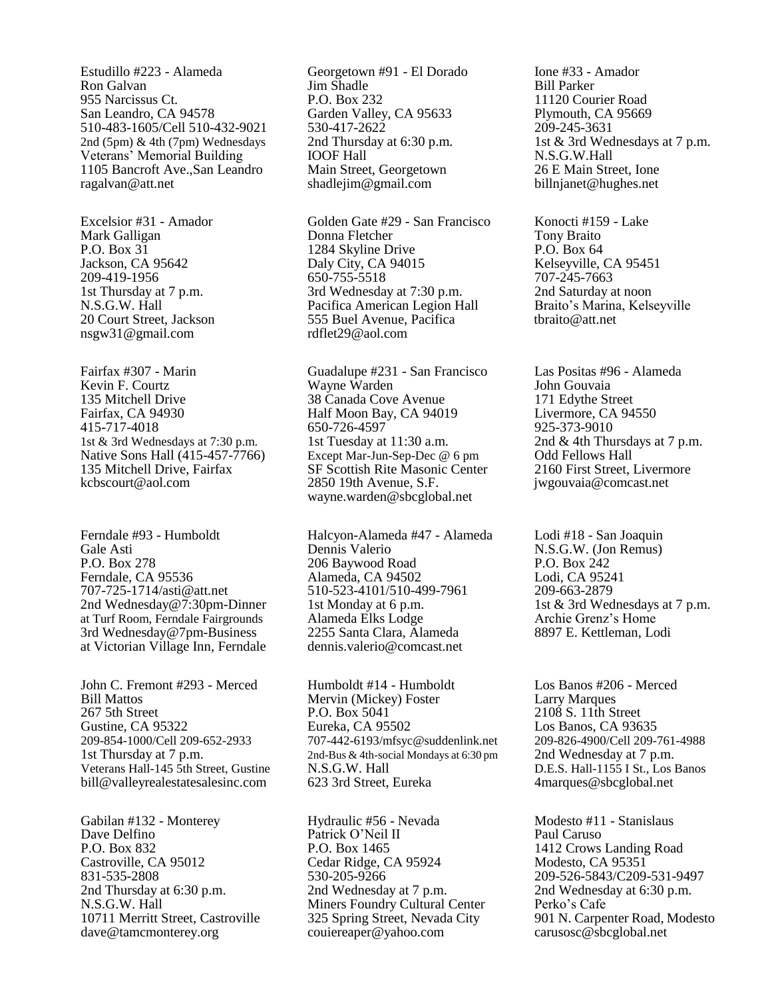Estudillo #223 - Alameda Ron Galvan 955 Narcissus Ct. San Leandro, CA 94578 510-483-1605/Cell 510-432-9021 2nd (5pm) & 4th (7pm) Wednesdays Veterans' Memorial Building 1105 Bancroft Ave.,San Leandro ragalvan@att.net

Excelsior #31 - Amador Mark Galligan P.O. Box 31 Jackson, CA 95642 209-419-1956 1st Thursday at 7 p.m. N.S.G.W. Hall 20 Court Street, Jackson nsgw31@gmail.com

Fairfax #307 - Marin Kevin F. Courtz 135 Mitchell Drive Fairfax, CA 94930 415-717-4018 1st & 3rd Wednesdays at 7:30 p.m. Native Sons Hall (415-457-7766) 135 Mitchell Drive, Fairfax kcbscourt@aol.com

Ferndale #93 - Humboldt Gale Asti P.O. Box 278 Ferndale, CA 95536 707-725-1714/asti@att.net 2nd Wednesday@7:30pm-Dinner at Turf Room, Ferndale Fairgrounds 3rd Wednesday@7pm-Business at Victorian Village Inn, Ferndale

John C. Fremont #293 - Merced Bill Mattos 267 5th Street Gustine, CA 95322 209-854-1000/Cell 209-652-2933 1st Thursday at 7 p.m. Veterans Hall-145 5th Street, Gustine bill@valleyrealestatesalesinc.com

Gabilan #132 - Monterey Dave Delfino P.O. Box 832 Castroville, CA 95012 831-535-2808 2nd Thursday at 6:30 p.m. N.S.G.W. Hall 10711 Merritt Street, Castroville dave@tamcmonterey.org

Georgetown #91 - El Dorado Jim Shadle P.O. Box 232 Garden Valley, CA 95633 530-417-2622 2nd Thursday at 6:30 p.m. IOOF Hall Main Street, Georgetown shadlejim@gmail.com

Golden Gate #29 - San Francisco Donna Fletcher 1284 Skyline Drive Daly City, CA 94015 650-755-5518 3rd Wednesday at 7:30 p.m. Pacifica American Legion Hall 555 Buel Avenue, Pacifica rdflet29@aol.com

Guadalupe #231 - San Francisco Wayne Warden 38 Canada Cove Avenue Half Moon Bay, CA 94019 650-726-4597 1st Tuesday at 11:30 a.m. Except Mar-Jun-Sep-Dec @ 6 pm SF Scottish Rite Masonic Center 2850 19th Avenue, S.F. [wayne.warden@sbcglobal.net](mailto:wayne.warden@sbcglobal.net)

Halcyon-Alameda #47 - Alameda Dennis Valerio 206 Baywood Road Alameda, CA 94502 510-523-4101/510-499-7961 1st Monday at 6 p.m. Alameda Elks Lodge 2255 Santa Clara, Alameda dennis.valerio@comcast.net

Humboldt #14 - Humboldt Mervin (Mickey) Foster P.O. Box 5041 Eureka, CA 95502 707-442-6193/mfsyc@suddenlink.net 2nd-Bus & 4th-social Mondays at 6:30 pm N.S.G.W. Hall 623 3rd Street, Eureka

Hydraulic #56 - Nevada Patrick O'Neil II P.O. Box 1465 Cedar Ridge, CA 95924 530-205-9266 2nd Wednesday at 7 p.m. Miners Foundry Cultural Center 325 Spring Street, Nevada City couiereaper@yahoo.com

Ione #33 - Amador Bill Parker 11120 Courier Road Plymouth, CA 95669 209-245-3631 1st & 3rd Wednesdays at 7 p.m. N.S.G.W.Hall 26 E Main Street, Ione billnjanet@hughes.net

Konocti #159 - Lake Tony Braito P.O. Box 64 Kelseyville, CA 95451 707-245-7663 2nd Saturday at noon Braito's Marina, Kelseyville tbraito@att.net

Las Positas #96 - Alameda John Gouvaia 171 Edythe Street Livermore, CA 94550 925-373-9010 2nd & 4th Thursdays at 7 p.m. Odd Fellows Hall 2160 First Street, Livermore jwgouvaia@comcast.net

Lodi #18 - San Joaquin N.S.G.W. (Jon Remus) P.O. Box 242 Lodi, CA 95241 209-663-2879 1st & 3rd Wednesdays at 7 p.m. Archie Grenz's Home 8897 E. Kettleman, Lodi

Los Banos #206 - Merced Larry Marques 2108 S. 11th Street Los Banos, CA 93635 209-826-4900/Cell 209-761-4988 2nd Wednesday at 7 p.m. D.E.S. Hall-1155 I St., Los Banos 4marques@sbcglobal.net

Modesto #11 - Stanislaus Paul Caruso 1412 Crows Landing Road Modesto, CA 95351 209-526-5843/C209-531-9497 2nd Wednesday at 6:30 p.m. Perko's Cafe 901 N. Carpenter Road, Modesto carusosc@sbcglobal.net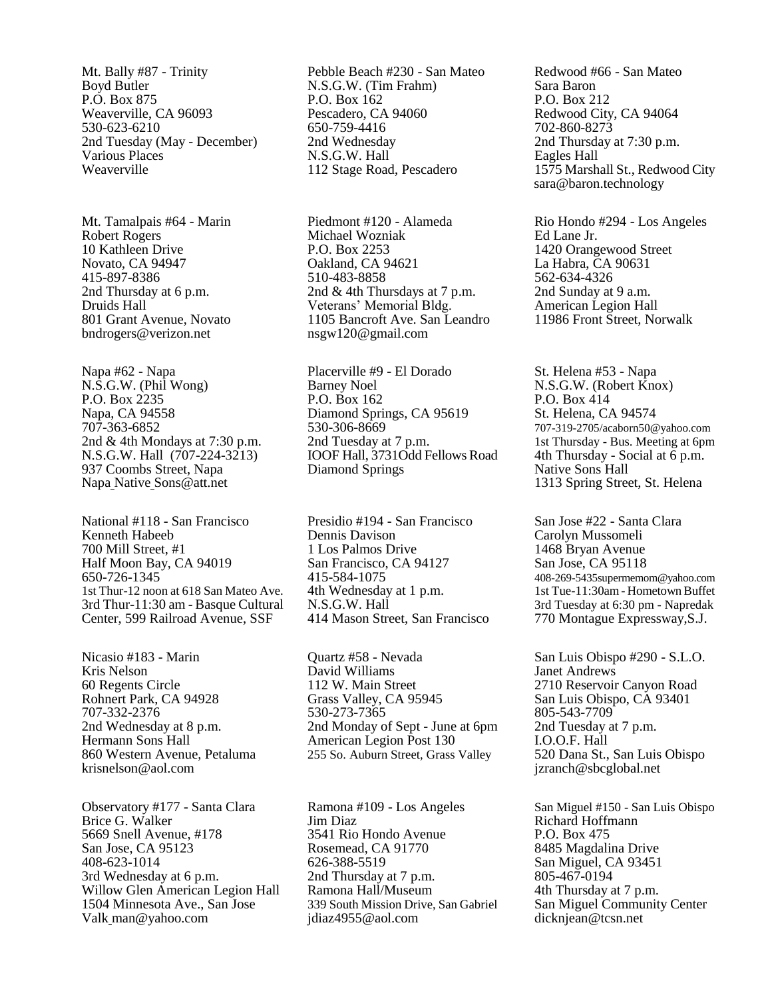Mt. Bally #87 - Trinity Boyd Butler P.O. Box 875 Weaverville, CA 96093 530-623-6210 2nd Tuesday (May - December) Various Places Weaverville

Mt. Tamalpais #64 - Marin Robert Rogers 10 Kathleen Drive Novato, CA 94947 415-897-8386 2nd Thursday at 6 p.m. Druids Hall 801 Grant Avenue, Novato bndrogers@verizon.net

Napa #62 - Napa N.S.G.W. (Phil Wong) P.O. Box 2235 Napa, CA 94558 707-363-6852 2nd & 4th Mondays at 7:30 p.m. N.S.G.W. Hall (707-224-3213) 937 Coombs Street, Napa Napa Native Sons@att.net

National #118 - San Francisco Kenneth Habeeb 700 Mill Street, #1 Half Moon Bay, CA 94019 650-726-1345 1st Thur-12 noon at 618 San Mateo Ave. 3rd Thur-11:30 am - Basque Cultural Center, 599 Railroad Avenue, SSF

Nicasio #183 - Marin Kris Nelson 60 Regents Circle Rohnert Park, CA 94928 707-332-2376 2nd Wednesday at 8 p.m. Hermann Sons Hall 860 Western Avenue, Petaluma krisnelson@aol.com

Observatory #177 - Santa Clara Brice G. Walker 5669 Snell Avenue, #178 San Jose, CA 95123 408-623-1014 3rd Wednesday at 6 p.m. Willow Glen American Legion Hall 1504 Minnesota Ave., San Jose Valk man@yahoo.com

Pebble Beach #230 - San Mateo N.S.G.W. (Tim Frahm) P.O. Box 162 Pescadero, CA 94060 650-759-4416 2nd Wednesday N.S.G.W. Hall 112 Stage Road, Pescadero

Piedmont #120 - Alameda Michael Wozniak P.O. Box 2253 Oakland, CA 94621 510-483-8858 2nd & 4th Thursdays at 7 p.m. Veterans' Memorial Bldg. 1105 Bancroft Ave. San Leandro [nsgw120@gmail.com](mailto:nsgw120@gmail.com)

Placerville #9 - El Dorado Barney Noel P.O. Box 162 Diamond Springs, CA 95619 530-306-8669 2nd Tuesday at 7 p.m. IOOF Hall, 3731Odd Fellows Road Diamond Springs

Presidio #194 - San Francisco Dennis Davison 1 Los Palmos Drive San Francisco, CA 94127 415-584-1075 4th Wednesday at 1 p.m. N.S.G.W. Hall 414 Mason Street, San Francisco

Quartz #58 - Nevada David Williams 112 W. Main Street Grass Valley, CA 95945 530-273-7365 2nd Monday of Sept - June at 6pm American Legion Post 130 255 So. Auburn Street, Grass Valley

Ramona #109 - Los Angeles Jim Diaz 3541 Rio Hondo Avenue Rosemead, CA 91770 626-388-5519 2nd Thursday at 7 p.m. Ramona Hall/Museum 339 South Mission Drive, San Gabriel jdiaz4955@aol.com

Redwood #66 - San Mateo Sara Baron P.O. Box 212 Redwood City, CA 94064 702-860-8273 2nd Thursday at 7:30 p.m. Eagles Hall 1575 Marshall St., Redwood City sara@baron.technology

Rio Hondo #294 - Los Angeles Ed Lane Jr. 1420 Orangewood Street La Habra, CA 90631 562-634-4326 2nd Sunday at 9 a.m. American Legion Hall 11986 Front Street, Norwalk

St. Helena #53 - Napa N.S.G.W. (Robert Knox) P.O. Box 414 St. Helena, CA 94574 707-319-2705/acaborn50@yahoo.com 1st Thursday - Bus. Meeting at 6pm 4th Thursday - Social at 6 p.m. Native Sons Hall 1313 Spring Street, St. Helena

San Jose #22 - Santa Clara Carolyn Mussomeli 1468 Bryan Avenue San Jose, CA 95118 408-269-5435supermemom@yahoo.com 1st Tue-11:30am - Hometown Buffet 3rd Tuesday at 6:30 pm - Napredak 770 Montague Expressway,S.J.

San Luis Obispo #290 - S.L.O. Janet Andrews 2710 Reservoir Canyon Road San Luis Obispo, CA 93401 805-543-7709 2nd Tuesday at 7 p.m. I.O.O.F. Hall 520 Dana St., San Luis Obispo jzranch@sbcglobal.net

San Miguel #150 - San Luis Obispo Richard Hoffmann P.O. Box 475 8485 Magdalina Drive San Miguel, CA 93451 805-467-0194 4th Thursday at 7 p.m. San Miguel Community Center dicknjean@tcsn.net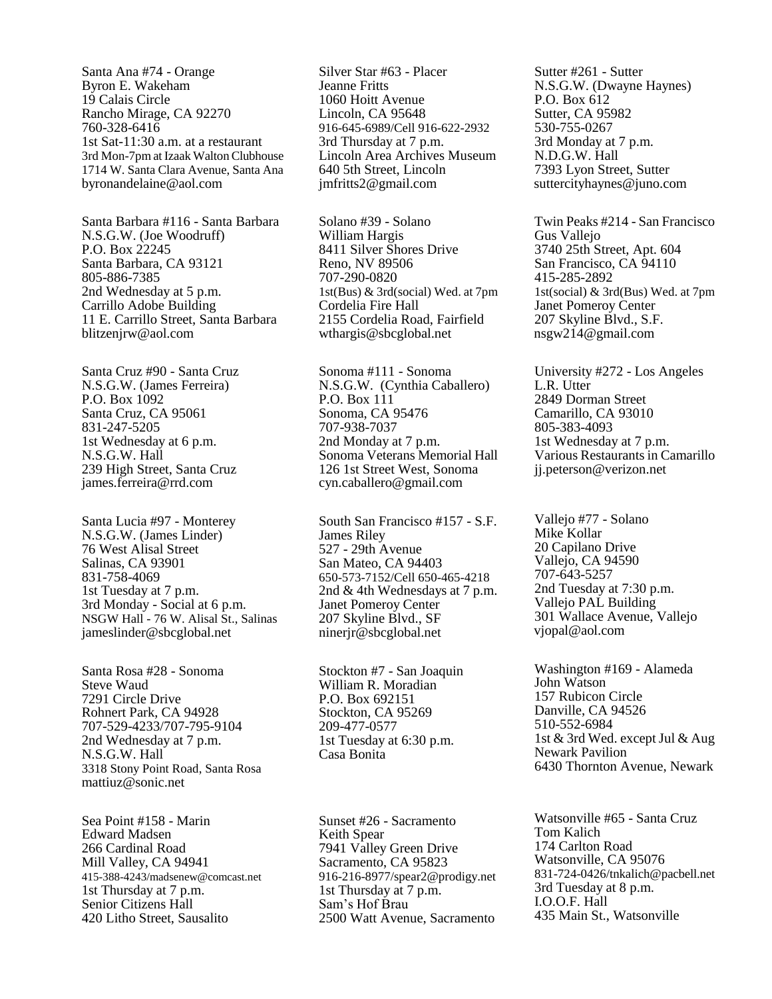Santa Ana #74 - Orange Byron E. Wakeham 19 Calais Circle Rancho Mirage, CA 92270 760-328-6416 1st Sat-11:30 a.m. at a restaurant 3rd Mon-7pm at Izaak Walton Clubhouse 1714 W. Santa Clara Avenue, Santa Ana byronandelaine@aol.com

Santa Barbara #116 - Santa Barbara N.S.G.W. (Joe Woodruff) P.O. Box 22245 Santa Barbara, CA 93121 805-886-7385 2nd Wednesday at 5 p.m. Carrillo Adobe Building 11 E. Carrillo Street, Santa Barbara blitzenjrw@aol.com

Santa Cruz #90 - Santa Cruz N.S.G.W. (James Ferreira) P.O. Box 1092 Santa Cruz, CA 95061 831-247-5205 1st Wednesday at 6 p.m. N.S.G.W. Hall 239 High Street, Santa Cruz james.ferreira@rrd.com

Santa Lucia #97 - Monterey N.S.G.W. (James Linder) 76 West Alisal Street Salinas, CA 93901 831-758-4069 1st Tuesday at 7 p.m. 3rd Monday - Social at 6 p.m. NSGW Hall - 76 W. Alisal St., Salinas jameslinder@sbcglobal.net

Santa Rosa #28 - Sonoma Steve Waud 7291 Circle Drive Rohnert Park, CA 94928 707-529-4233/707-795-9104 2nd Wednesday at 7 p.m. N.S.G.W. Hall 3318 Stony Point Road, Santa Rosa mattiuz@sonic.net

Sea Point #158 - Marin Edward Madsen 266 Cardinal Road Mill Valley, CA 94941 415-388-4243/madsenew@comcast.net 1st Thursday at 7 p.m. Senior Citizens Hall 420 Litho Street, Sausalito

Silver Star #63 - Placer Jeanne Fritts 1060 Hoitt Avenue Lincoln, CA 95648 916-645-6989/Cell 916-622-2932 3rd Thursday at 7 p.m. Lincoln Area Archives Museum 640 5th Street, Lincoln jmfritts2@gmail.com

Solano #39 - Solano William Hargis 8411 Silver Shores Drive Reno, NV 89506 707-290-0820 1st(Bus) & 3rd(social) Wed. at 7pm Cordelia Fire Hall 2155 Cordelia Road, Fairfield wthargis@sbcglobal.net

Sonoma #111 - Sonoma N.S.G.W. (Cynthia Caballero) P.O. Box 111 Sonoma, CA 95476 707-938-7037 2nd Monday at 7 p.m. Sonoma Veterans Memorial Hall 126 1st Street West, Sonoma cyn.caballero@gmail.com

South San Francisco #157 - S.F. James Riley 527 - 29th Avenue San Mateo, CA 94403 650-573-7152/Cell 650-465-4218 2nd & 4th Wednesdays at 7 p.m. Janet Pomeroy Center 207 Skyline Blvd., SF ninerjr@sbcglobal.net

Stockton #7 - San Joaquin William R. Moradian P.O. Box 692151 Stockton, CA 95269 209-477-0577 1st Tuesday at 6:30 p.m. Casa Bonita

Sunset #26 - Sacramento Keith Spear 7941 Valley Green Drive Sacramento, CA 95823 916-216-8977/spear2@prodigy.net 1st Thursday at 7 p.m. Sam's Hof Brau 2500 Watt Avenue, Sacramento

Sutter #261 - Sutter N.S.G.W. (Dwayne Haynes) P.O. Box 612 Sutter, CA 95982 530-755-0267 3rd Monday at 7 p.m. N.D.G.W. Hall 7393 Lyon Street, Sutter suttercityhaynes@juno.com

Twin Peaks #214 - San Francisco Gus Vallejo 3740 25th Street, Apt. 604 San Francisco, CA 94110 415-285-2892 1st(social) & 3rd(Bus) Wed. at 7pm Janet Pomeroy Center 207 Skyline Blvd., S.F. nsgw214@gmail.com

University #272 - Los Angeles L.R. Utter 2849 Dorman Street Camarillo, CA 93010 805-383-4093 1st Wednesday at 7 p.m. Various Restaurants in Camarillo jj.peterson@verizon.net

Vallejo #77 - Solano Mike Kollar 20 Capilano Drive Vallejo, CA 94590 707-643-5257 2nd Tuesday at 7:30 p.m. Vallejo PAL Building 301 Wallace Avenue, Vallejo vjopal@aol.com

Washington #169 - Alameda John Watson 157 Rubicon Circle Danville, CA 94526 510-552-6984 1st & 3rd Wed. except Jul & Aug Newark Pavilion 6430 Thornton Avenue, Newark

Watsonville #65 - Santa Cruz Tom Kalich 174 Carlton Road Watsonville, CA 95076 831-724-0426/tnkalich@pacbell.net 3rd Tuesday at 8 p.m. I.O.O.F. Hall 435 Main St., Watsonville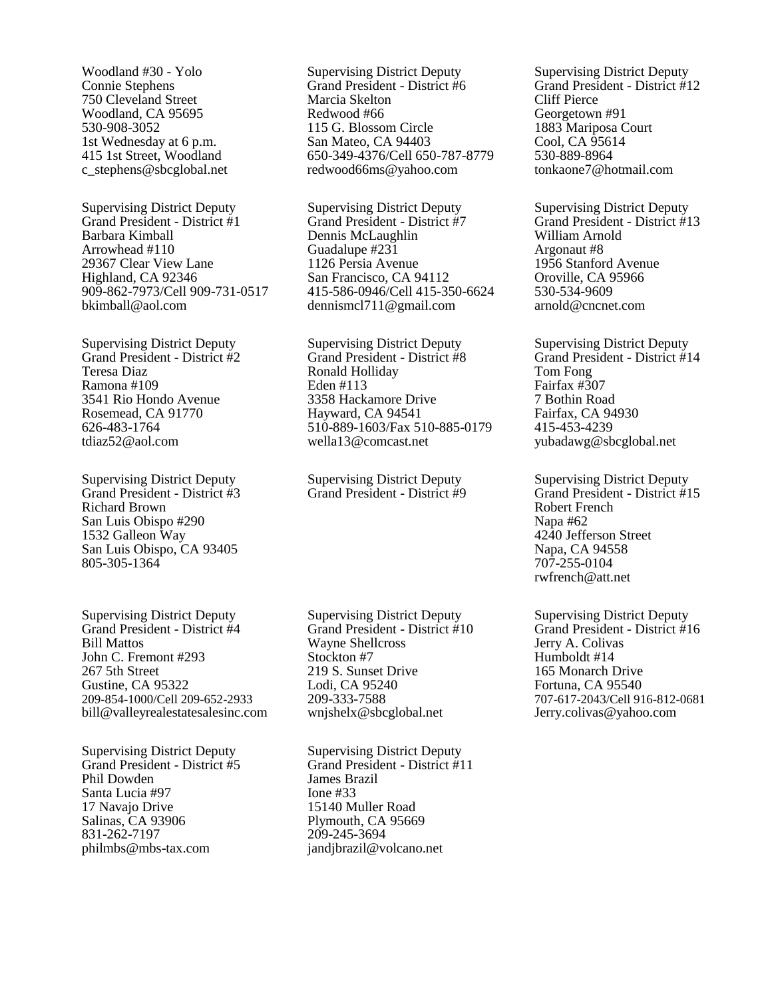Woodland #30 - Yolo Connie Stephens 750 Cleveland Street Woodland, CA 95695 530-908-3052 1st Wednesday at 6 p.m. 415 1st Street, Woodland c\_stephens@sbcglobal.net

Supervising District Deputy Grand President - District #1 Barbara Kimball Arrowhead #110 29367 Clear View Lane Highland, CA 92346 909-862-7973/Cell 909-731-0517 bkimball@aol.com

Supervising District Deputy Grand President - District #2 Teresa Diaz Ramona #109 3541 Rio Hondo Avenue Rosemead, CA 91770 626-483-1764 tdiaz52@aol.com

Supervising District Deputy Grand President - District #3 Richard Brown San Luis Obispo #290 1532 Galleon Way San Luis Obispo, CA 93405 805-305-1364

Supervising District Deputy Grand President - District #4 Bill Mattos John C. Fremont #293 267 5th Street Gustine, CA 95322 209-854-1000/Cell 209-652-2933 bill@valleyrealestatesalesinc.com

Supervising District Deputy Grand President - District #5 Phil Dowden Santa Lucia #97 17 Navajo Drive Salinas, CA 93906 831-262-7197 philmbs@mbs-tax.com

Supervising District Deputy Grand President - District #6 Marcia Skelton Redwood #66 115 G. Blossom Circle San Mateo, CA 94403 650-349-4376/Cell 650-787-8779 redwood66ms@yahoo.com

Supervising District Deputy Grand President - District #7 Dennis McLaughlin Guadalupe #231 1126 Persia Avenue San Francisco, CA 94112 415-586-0946/Cell 415-350-6624 dennismcl711@gmail.com

Supervising District Deputy Grand President - District #8 Ronald Holliday Eden #113 3358 Hackamore Drive Hayward, CA 94541 510-889-1603/Fax 510-885-0179 wella13@comcast.net

Supervising District Deputy Grand President - District #9

Supervising District Deputy Grand President - District #10 Wayne Shellcross Stockton #7 219 S. Sunset Drive Lodi, CA 95240 209-333-7588 wnjshelx@sbcglobal.net

Supervising District Deputy Grand President - District #11 James Brazil Ione #33 15140 Muller Road Plymouth, CA 95669 209-245-3694 jandjbrazil@volcano.net

Supervising District Deputy Grand President - District #12 Cliff Pierce Georgetown #91 1883 Mariposa Court Cool, CA 95614 530-889-8964 tonkaone7@hotmail.com

Supervising District Deputy Grand President - District #13 William Arnold Argonaut #8 1956 Stanford Avenue Oroville, CA 95966 530-534-9609 arnold@cncnet.com

Supervising District Deputy Grand President - District #14 Tom Fong Fairfax #307 7 Bothin Road Fairfax, CA 94930 415-453-4239 yubadawg@sbcglobal.net

Supervising District Deputy Grand President - District #15 Robert French Napa #62 4240 Jefferson Street Napa, CA 94558 707-255-0104 rwfrench@att.net

Supervising District Deputy Grand President - District #16 Jerry A. Colivas Humboldt #14 165 Monarch Drive Fortuna, CA 95540 707-617-2043/Cell 916-812-0681 Jerry.colivas@yahoo.com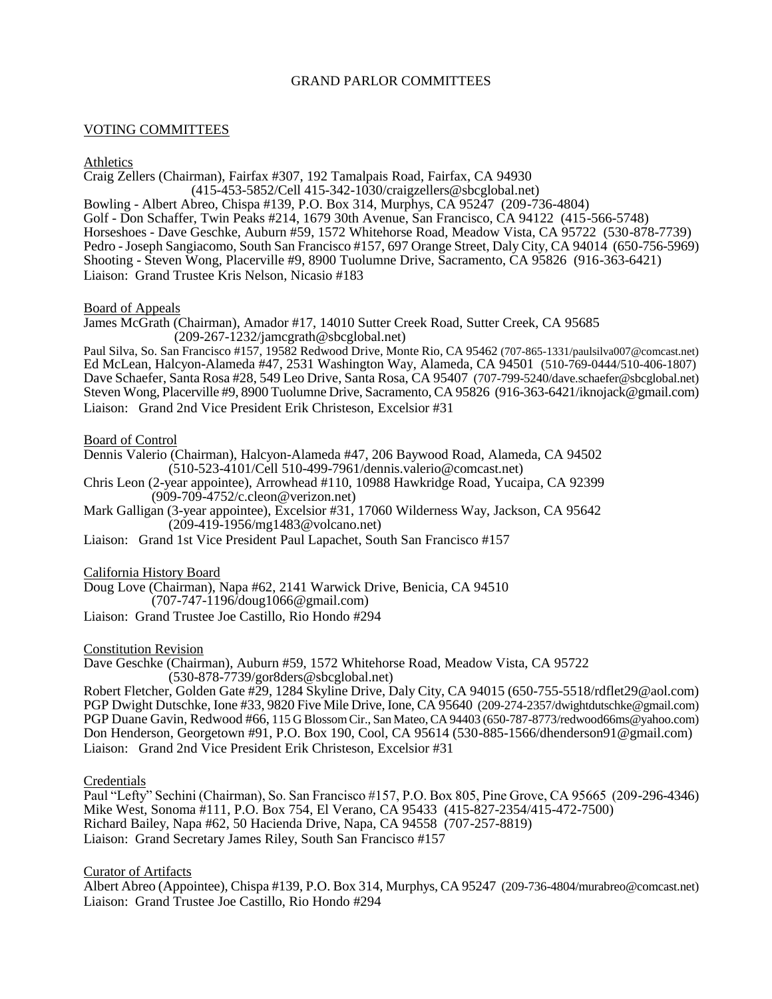## GRAND PARLOR COMMITTEES

## VOTING COMMITTEES

## Athletics

Craig Zellers (Chairman), Fairfax #307, 192 Tamalpais Road, Fairfax, CA 94930 (415-453-5852/Cell 415-342-1030/craigzellers@sbcglobal.net) Bowling - Albert Abreo, Chispa #139, P.O. Box 314, Murphys, CA 95247 (209-736-4804) Golf - Don Schaffer, Twin Peaks #214, 1679 30th Avenue, San Francisco, CA 94122 (415-566-5748) Horseshoes - Dave Geschke, Auburn #59, 1572 Whitehorse Road, Meadow Vista, CA 95722 (530-878-7739) Pedro -Joseph Sangiacomo, South San Francisco #157, 697 Orange Street, Daly City, CA 94014 (650-756-5969) Shooting - Steven Wong, Placerville #9, 8900 Tuolumne Drive, Sacramento, CA 95826 (916-363-6421) Liaison: Grand Trustee Kris Nelson, Nicasio #183

### Board of Appeals

James McGrath (Chairman), Amador #17, 14010 Sutter Creek Road, Sutter Creek, CA 95685 (209-267-1232/jamcgrath@sbcglobal.net)

Paul Silva, So. San Francisco #157, 19582 Redwood Drive, Monte Rio, CA 95462 (707-865-1331/paulsilva007@comcast.net) Ed McLean, Halcyon-Alameda #47, 2531 Washington Way, Alameda, CA 94501 (510-769-0444/510-406-1807) Dave Schaefer, Santa Rosa #28, 549 Leo Drive, Santa Rosa, CA 95407 (707-799-5240/dave.schaefer@sbcglobal.net) Steven Wong, Placerville #9, 8900 Tuolumne Drive, Sacramento, CA 95826 (916-363-6421/iknojack@gmail.com) Liaison: Grand 2nd Vice President Erik Christeson, Excelsior #31

## Board of Control

Dennis Valerio (Chairman), Halcyon-Alameda #47, 206 Baywood Road, Alameda, CA 94502 (510-523-4101/Cell 510-499-7961/dennis.valerio@comcast.net)

Chris Leon (2-year appointee), Arrowhead #110, 10988 Hawkridge Road, Yucaipa, CA 92399 (909-709-4752/c.cleon@verizon.net)

Mark Galligan (3-year appointee), Excelsior #31, 17060 Wilderness Way, Jackson, CA 95642 (209-419-1956/mg1483@volcano.net)

Liaison: Grand 1st Vice President Paul Lapachet, South San Francisco #157

### California History Board

Doug Love (Chairman), Napa #62, 2141 Warwick Drive, Benicia, CA 94510

(707-747-1196/doug1066@gmail.com)

Liaison: Grand Trustee Joe Castillo, Rio Hondo #294

### Constitution Revision

Dave Geschke (Chairman), Auburn #59, 1572 Whitehorse Road, Meadow Vista, CA 95722 (530-878-7739/gor8ders@sbcglobal.net)

Robert Fletcher, Golden Gate #29, 1284 Skyline Drive, Daly City, CA 94015 (650-755-5518/rdflet29@aol.com) PGP Dwight Dutschke, Ione #33, 9820 Five Mile Drive, Ione, CA 95640 (209-274-2357/dwightdutschke@gmail.com) PGP Duane Gavin, Redwood #66, 115 G Blossom Cir., San Mateo, CA 94403 (650-787-8773/redwood66ms@yahoo.com) Don Henderson, Georgetown #91, P.O. Box 190, Cool, CA 95614 (530-885-1566/dhenderson91@gmail.com) Liaison: Grand 2nd Vice President Erik Christeson, Excelsior #31

### Credentials

Paul "Lefty" Sechini (Chairman), So. San Francisco #157, P.O. Box 805, Pine Grove, CA 95665 (209-296-4346) Mike West, Sonoma #111, P.O. Box 754, El Verano, CA 95433 (415-827-2354/415-472-7500) Richard Bailey, Napa #62, 50 Hacienda Drive, Napa, CA 94558 (707-257-8819) Liaison: Grand Secretary James Riley, South San Francisco #157

### Curator of Artifacts

Albert Abreo (Appointee), Chispa #139, P.O. Box 314, Murphys, CA 95247 (209-736-4804/murabreo@comcast.net) Liaison: Grand Trustee Joe Castillo, Rio Hondo #294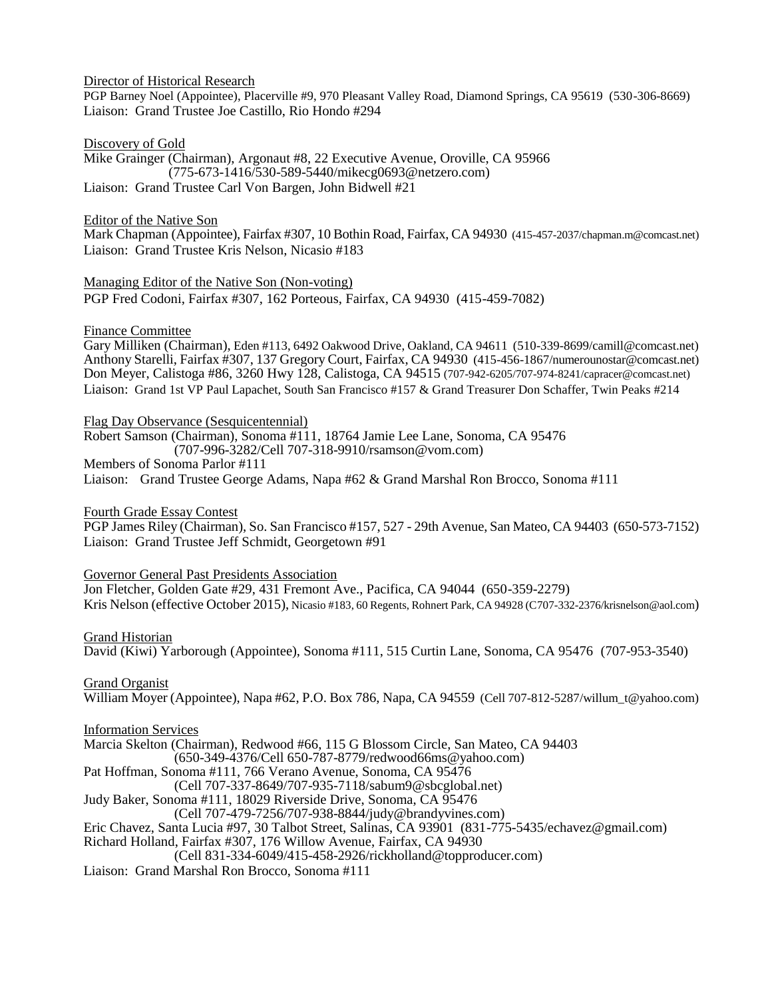Director of Historical Research

PGP Barney Noel (Appointee), Placerville #9, 970 Pleasant Valley Road, Diamond Springs, CA 95619 (530-306-8669) Liaison: Grand Trustee Joe Castillo, Rio Hondo #294

Discovery of Gold

Mike Grainger (Chairman), Argonaut #8, 22 Executive Avenue, Oroville, CA 95966 (775-673-1416/530-589-5440/mikecg0693@netzero.com) Liaison: Grand Trustee Carl Von Bargen, John Bidwell #21

Editor of the Native Son

Mark Chapman (Appointee), Fairfax #307, 10 Bothin Road, Fairfax, CA 94930 (415-457-2037/chapman.m@comcast.net) Liaison: Grand Trustee Kris Nelson, Nicasio #183

Managing Editor of the Native Son (Non-voting)

PGP Fred Codoni, Fairfax #307, 162 Porteous, Fairfax, CA 94930 (415-459-7082)

Finance Committee

Gary Milliken (Chairman), Eden #113, 6492 Oakwood Drive, Oakland, CA 94611 (510-339-8699/camill@comcast.net) Anthony Starelli, Fairfax #307, 137 Gregory Court, Fairfax, CA 94930 (415-456-1867/numerounostar@comcast.net) Don Meyer, Calistoga #86, 3260 Hwy 128, Calistoga, CA 94515 (707-942-6205/707-974-8241/capracer@comcast.net) Liaison: Grand 1st VP Paul Lapachet, South San Francisco #157 & Grand Treasurer Don Schaffer, Twin Peaks #214

Flag Day Observance (Sesquicentennial)

Robert Samson (Chairman), Sonoma #111, 18764 Jamie Lee Lane, Sonoma, CA 95476 (707-996-3282/Cell 707-318-9910/rsamson@vom.com) Members of Sonoma Parlor #111

Liaison: Grand Trustee George Adams, Napa #62 & Grand Marshal Ron Brocco, Sonoma #111

Fourth Grade Essay Contest

PGP James Riley (Chairman), So. San Francisco #157, 527 - 29th Avenue, San Mateo, CA 94403 (650-573-7152) Liaison: Grand Trustee Jeff Schmidt, Georgetown #91

Governor General Past Presidents Association

Jon Fletcher, Golden Gate #29, 431 Fremont Ave., Pacifica, CA 94044 (650-359-2279) Kris Nelson (effective October 2015), Nicasio #183, 60 Regents, Rohnert Park, CA 94928 ([C707-332-2376/krisnelson@aol.com](mailto:707-332-2376/krisnelson@aol.com))

Grand Historian

David (Kiwi) Yarborough (Appointee), Sonoma #111, 515 Curtin Lane, Sonoma, CA 95476 (707-953-3540)

Grand Organist

William Moyer (Appointee), Napa #62, P.O. Box 786, Napa, CA 94559 (Cell 707-812-5287/willum t@yahoo.com)

Information Services

Marcia Skelton (Chairman), Redwood #66, 115 G Blossom Circle, San Mateo, CA 94403 (650-349-4376/Cell 650-787-8779/redwood66ms@yahoo.com)

Pat Hoffman, Sonoma #111, 766 Verano Avenue, Sonoma, CA 95476

(Cell 707-337-8649/707-935-7118/sabum9@sbcglobal.net)

Judy Baker, Sonoma #111, 18029 Riverside Drive, Sonoma, CA 95476

(Cell 707-479-7256/707-938-8844/judy@brandyvines.com)

Eric Chavez, Santa Lucia #97, 30 Talbot Street, Salinas, CA 93901 (831-775-5435/echavez@gmail.com) Richard Holland, Fairfax #307, 176 Willow Avenue, Fairfax, CA 94930

(Cell 831-334-6049/415-458-2926/rickholland@topproducer.com)

Liaison: Grand Marshal Ron Brocco, Sonoma #111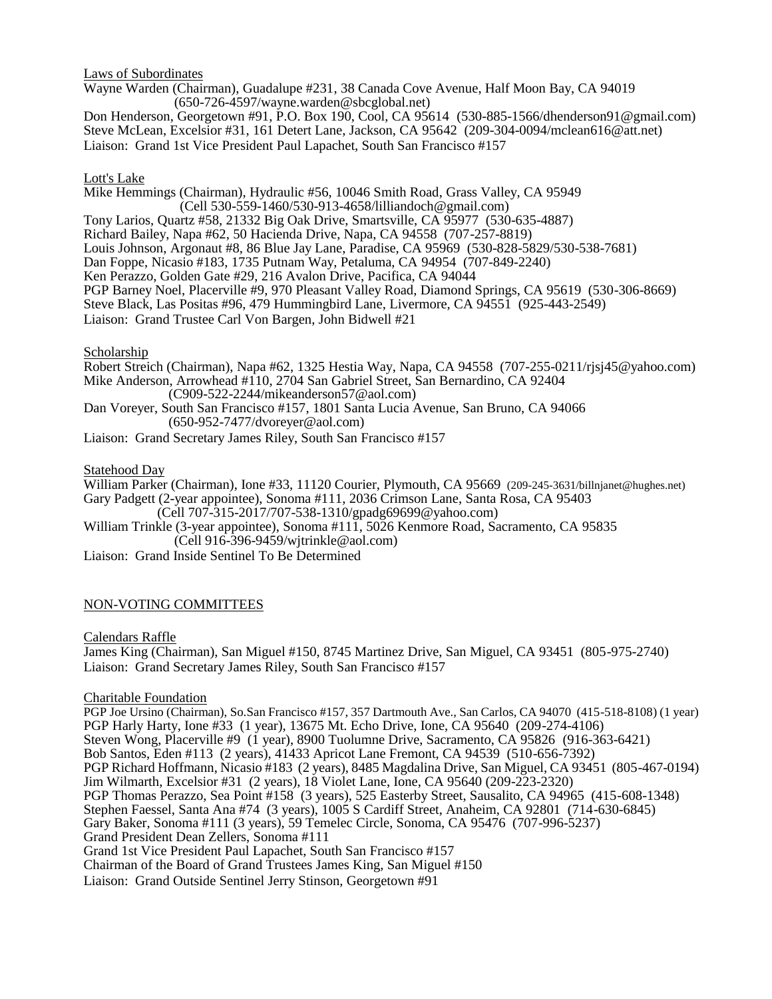Laws of Subordinates

Wayne Warden (Chairman), Guadalupe #231, 38 Canada Cove Avenue, Half Moon Bay, CA 94019 (650-726-4597/wayne.warden@sbcglobal.net)

Don Henderson, Georgetown #91, P.O. Box 190, Cool, CA 95614 (530-885-1566/dhenderson91@gmail.com) Steve McLean, Excelsior #31, 161 Detert Lane, Jackson, CA 95642 (209-304-0094/mclean616@att.net) Liaison: Grand 1st Vice President Paul Lapachet, South San Francisco #157

### Lott's Lake

Mike Hemmings (Chairman), Hydraulic #56, 10046 Smith Road, Grass Valley, CA 95949 (Cell 530-559-1460/530-913-4658/lilliandoch@gmail.com) Tony Larios, Quartz #58, 21332 Big Oak Drive, Smartsville, CA 95977 (530-635-4887) Richard Bailey, Napa #62, 50 Hacienda Drive, Napa, CA 94558 (707-257-8819) Louis Johnson, Argonaut #8, 86 Blue Jay Lane, Paradise, CA 95969 (530-828-5829/530-538-7681) Dan Foppe, Nicasio #183, 1735 Putnam Way, Petaluma, CA 94954 (707-849-2240) Ken Perazzo, Golden Gate #29, 216 Avalon Drive, Pacifica, CA 94044 PGP Barney Noel, Placerville #9, 970 Pleasant Valley Road, Diamond Springs, CA 95619 (530-306-8669) Steve Black, Las Positas #96, 479 Hummingbird Lane, Livermore, CA 94551 (925-443-2549) Liaison: Grand Trustee Carl Von Bargen, John Bidwell #21

#### Scholarship

Robert Streich (Chairman), Napa #62, 1325 Hestia Way, Napa, CA 94558 (707-255-0211/rjsj45@yahoo.com) Mike Anderson, Arrowhead #110, 2704 San Gabriel Street, San Bernardino, CA 92404 (C909-522-2244/mikeanderson57@aol.com) Dan Voreyer, South San Francisco #157, 1801 Santa Lucia Avenue, San Bruno, CA 94066 (650-952-7477/dvoreyer@aol.com) Liaison: Grand Secretary James Riley, South San Francisco #157

#### Statehood Day

William Parker (Chairman), Ione #33, 11120 Courier, Plymouth, CA 95669 (209-245-3631/billnjanet@hughes.net) Gary Padgett (2-year appointee), Sonoma #111, 2036 Crimson Lane, Santa Rosa, CA 95403

(Cell 707-315-2017/707-538-1310/gpadg69699@yahoo.com)

William Trinkle (3-year appointee), Sonoma #111, 5026 Kenmore Road, Sacramento, CA 95835 (Cell 916-396-9459/wjtrinkle@aol.com)

Liaison: Grand Inside Sentinel To Be Determined

### NON-VOTING COMMITTEES

Calendars Raffle

James King (Chairman), San Miguel #150, 8745 Martinez Drive, San Miguel, CA 93451 (805-975-2740) Liaison: Grand Secretary James Riley, South San Francisco #157

### Charitable Foundation

PGP Joe Ursino (Chairman), So.San Francisco #157, 357 Dartmouth Ave., San Carlos, CA 94070 (415-518-8108) (1 year) PGP Harly Harty, Ione #33 (1 year), 13675 Mt. Echo Drive, Ione, CA 95640 (209-274-4106) Steven Wong, Placerville #9 (1 year), 8900 Tuolumne Drive, Sacramento, CA 95826 (916-363-6421) Bob Santos, Eden #113 (2 years), 41433 Apricot Lane Fremont, CA 94539 (510-656-7392) PGP Richard Hoffmann, Nicasio #183 (2 years), 8485 Magdalina Drive, San Miguel, CA 93451 (805-467-0194) Jim Wilmarth, Excelsior #31 (2 years), 18 Violet Lane, Ione, CA 95640 (209-223-2320) PGP Thomas Perazzo, Sea Point #158 (3 years), 525 Easterby Street, Sausalito, CA 94965 (415-608-1348) Stephen Faessel, Santa Ana #74 (3 years), 1005 S Cardiff Street, Anaheim, CA 92801 (714-630-6845) Gary Baker, Sonoma #111 (3 years), 59 Temelec Circle, Sonoma, CA 95476 (707-996-5237) Grand President Dean Zellers, Sonoma #111 Grand 1st Vice President Paul Lapachet, South San Francisco #157 Chairman of the Board of Grand Trustees James King, San Miguel #150 Liaison: Grand Outside Sentinel Jerry Stinson, Georgetown #91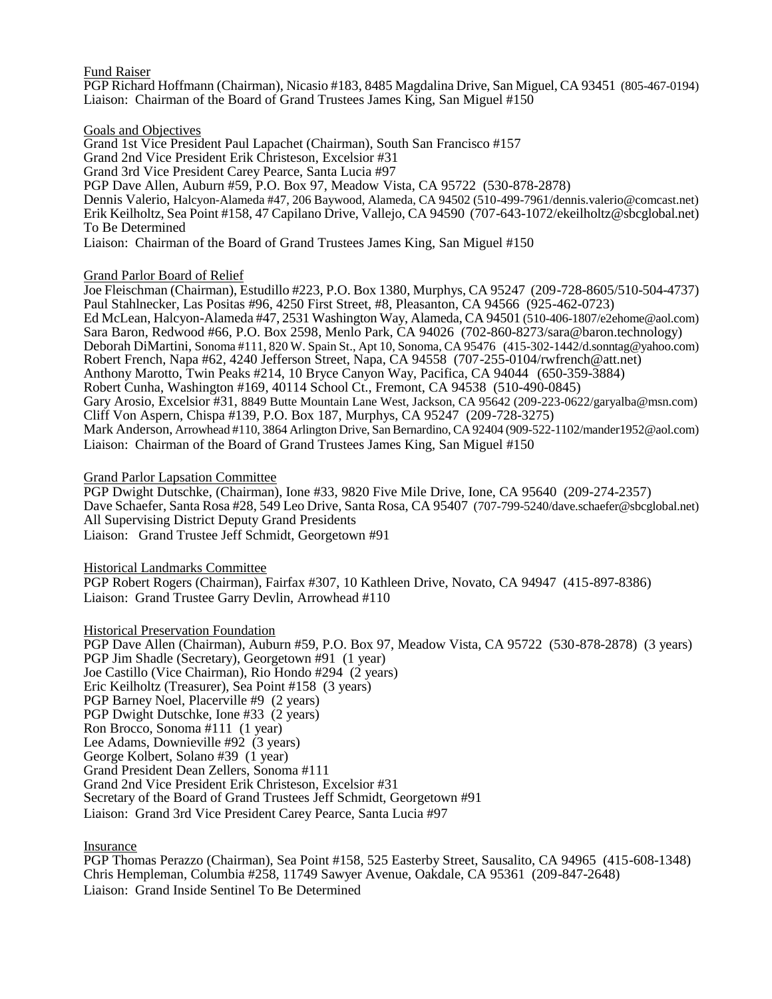### Fund Raiser

PGP Richard Hoffmann (Chairman), Nicasio #183, 8485 Magdalina Drive, San Miguel, CA 93451 (805-467-0194) Liaison: Chairman of the Board of Grand Trustees James King, San Miguel #150

#### Goals and Objectives

Grand 1st Vice President Paul Lapachet (Chairman), South San Francisco #157 Grand 2nd Vice President Erik Christeson, Excelsior #31 Grand 3rd Vice President Carey Pearce, Santa Lucia #97 PGP Dave Allen, Auburn #59, P.O. Box 97, Meadow Vista, CA 95722 (530-878-2878) Dennis Valerio, Halcyon-Alameda #47, 206 Baywood, Alameda, CA 94502 (510-499-7961/dennis.valerio@comcast.net) Erik Keilholtz, Sea Point #158, 47 Capilano Drive, Vallejo, CA 94590 (707-643-1072/ekeilholtz@sbcglobal.net) To Be Determined Liaison: Chairman of the Board of Grand Trustees James King, San Miguel #150

### Grand Parlor Board of Relief

Joe Fleischman (Chairman), Estudillo #223, P.O. Box 1380, Murphys, CA 95247 (209-728-8605/510-504-4737) Paul Stahlnecker, Las Positas #96, 4250 First Street, #8, Pleasanton, CA 94566 (925-462-0723) Ed McLean, Halcyon-Alameda #47, 2531 Washington Way, Alameda, CA 94501 (510-406-1807/e2ehome@aol.com) Sara Baron, Redwood #66, P.O. Box 2598, Menlo Park, CA 94026 (702-860-8273/sara@baron.technology) Deborah DiMartini, Sonoma #111, 820 W. Spain St., Apt 10, Sonoma, CA 95476 (415-302-1442/d.sonntag@yahoo.com) Robert French, Napa #62, 4240 Jefferson Street, Napa, CA 94558 (707-255-0104/rwfrench@att.net) Anthony Marotto, Twin Peaks #214, 10 Bryce Canyon Way, Pacifica, CA 94044 (650-359-3884) Robert Cunha, Washington #169, 40114 School Ct., Fremont, CA 94538 (510-490-0845) Gary Arosio, Excelsior #31, 8849 Butte Mountain Lane West, Jackson, CA 95642 (209-223-0622/garyalba@msn.com) Cliff Von Aspern, Chispa #139, P.O. Box 187, Murphys, CA 95247 (209-728-3275) Mark Anderson, Arrowhead #110, 3864 Arlington Drive, San Bernardino, CA 92404 (909-522-1102/mander1952@aol.com) Liaison: Chairman of the Board of Grand Trustees James King, San Miguel #150

### Grand Parlor Lapsation Committee

PGP Dwight Dutschke, (Chairman), Ione #33, 9820 Five Mile Drive, Ione, CA 95640 (209-274-2357) Dave Schaefer, Santa Rosa #28, 549 Leo Drive, Santa Rosa, CA 95407 (707-799-5240/dave.schaefer@sbcglobal.net) All Supervising District Deputy Grand Presidents Liaison: Grand Trustee Jeff Schmidt, Georgetown #91

Historical Landmarks Committee

PGP Robert Rogers (Chairman), Fairfax #307, 10 Kathleen Drive, Novato, CA 94947 (415-897-8386) Liaison: Grand Trustee Garry Devlin, Arrowhead #110

### Historical Preservation Foundation

PGP Dave Allen (Chairman), Auburn #59, P.O. Box 97, Meadow Vista, CA 95722 (530-878-2878) (3 years) PGP Jim Shadle (Secretary), Georgetown #91 (1 year) Joe Castillo (Vice Chairman), Rio Hondo #294 (2 years) Eric Keilholtz (Treasurer), Sea Point #158 (3 years) PGP Barney Noel, Placerville #9 (2 years) PGP Dwight Dutschke, Ione #33 (2 years) Ron Brocco, Sonoma #111 (1 year) Lee Adams, Downieville #92 (3 years) George Kolbert, Solano #39 (1 year) Grand President Dean Zellers, Sonoma #111 Grand 2nd Vice President Erik Christeson, Excelsior #31 Secretary of the Board of Grand Trustees Jeff Schmidt, Georgetown #91 Liaison: Grand 3rd Vice President Carey Pearce, Santa Lucia #97

Insurance

PGP Thomas Perazzo (Chairman), Sea Point #158, 525 Easterby Street, Sausalito, CA 94965 (415-608-1348) Chris Hempleman, Columbia #258, 11749 Sawyer Avenue, Oakdale, CA 95361 (209-847-2648) Liaison: Grand Inside Sentinel To Be Determined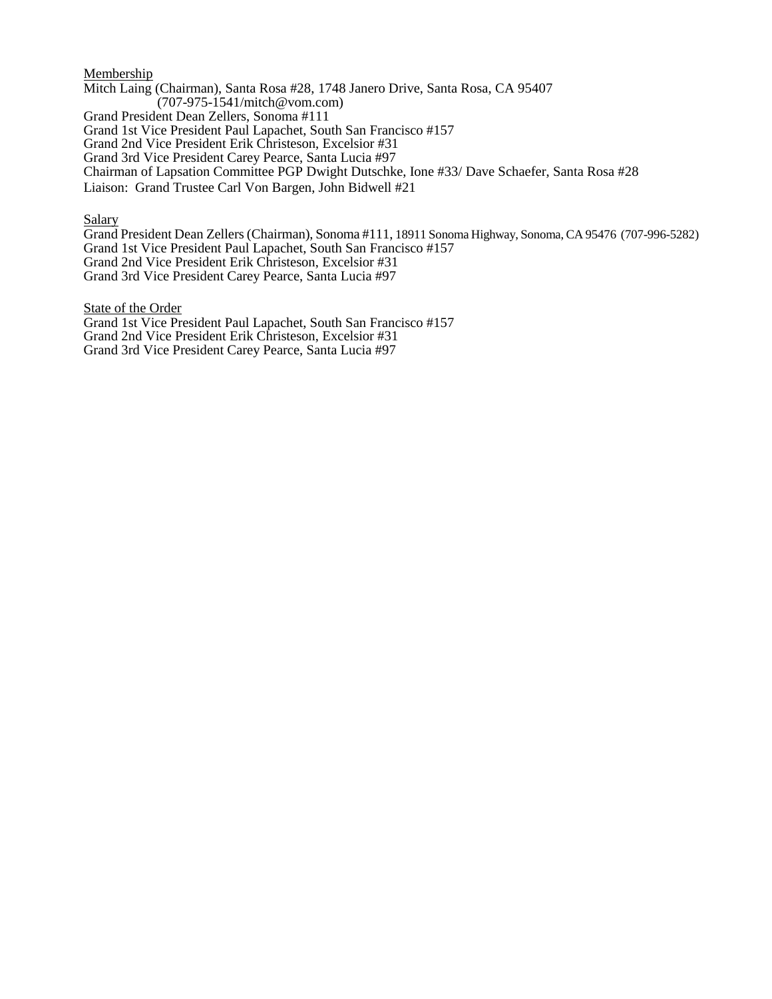#### **Membership**

Mitch Laing (Chairman), Santa Rosa #28, 1748 Janero Drive, Santa Rosa, CA 95407 (707-975-1541/mitch@vom.com) Grand President Dean Zellers, Sonoma #111 Grand 1st Vice President Paul Lapachet, South San Francisco #157 Grand 2nd Vice President Erik Christeson, Excelsior #31 Grand 3rd Vice President Carey Pearce, Santa Lucia #97 Chairman of Lapsation Committee PGP Dwight Dutschke, Ione #33/ Dave Schaefer, Santa Rosa #28 Liaison: Grand Trustee Carl Von Bargen, John Bidwell #21

**Salary** 

Grand President Dean Zellers (Chairman), Sonoma #111, 18911 Sonoma Highway, Sonoma, CA 95476 (707-996-5282) Grand 1st Vice President Paul Lapachet, South San Francisco #157 Grand 2nd Vice President Erik Christeson, Excelsior #31 Grand 3rd Vice President Carey Pearce, Santa Lucia #97

State of the Order

Grand 1st Vice President Paul Lapachet, South San Francisco #157 Grand 2nd Vice President Erik Christeson, Excelsior #31 Grand 3rd Vice President Carey Pearce, Santa Lucia #97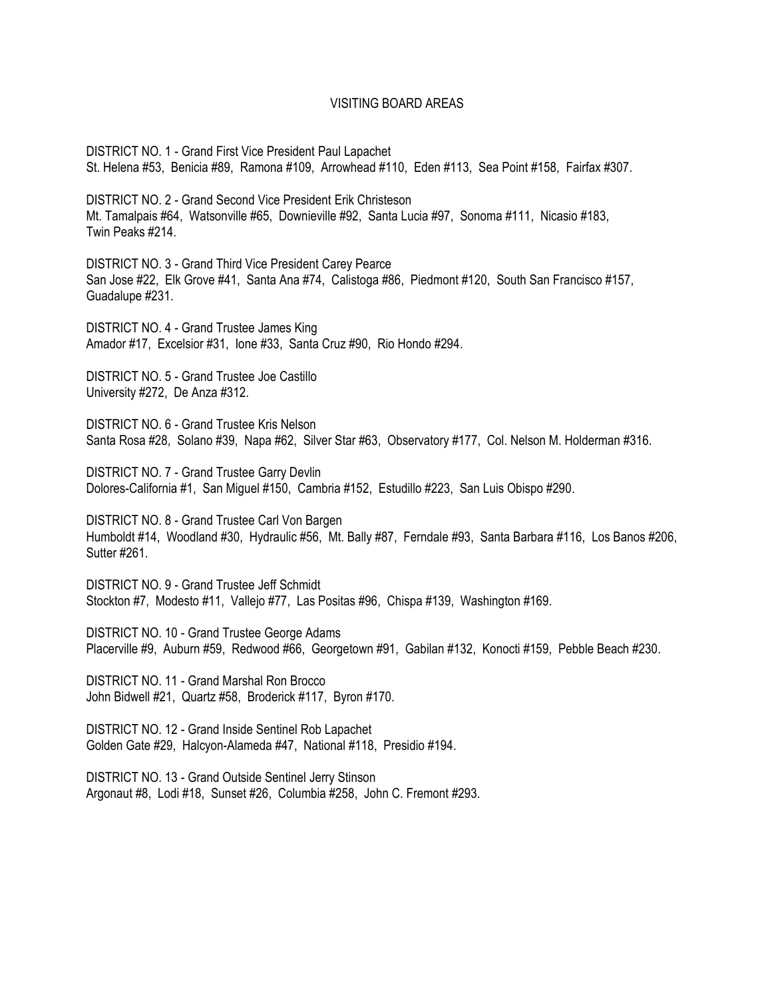### VISITING BOARD AREAS

DISTRICT NO. 1 - Grand First Vice President Paul Lapachet St. Helena #53, Benicia #89, Ramona #109, Arrowhead #110, Eden #113, Sea Point #158, Fairfax #307.

DISTRICT NO. 2 - Grand Second Vice President Erik Christeson Mt. Tamalpais #64, Watsonville #65, Downieville #92, Santa Lucia #97, Sonoma #111, Nicasio #183, Twin Peaks #214.

DISTRICT NO. 3 - Grand Third Vice President Carey Pearce San Jose #22, Elk Grove #41, Santa Ana #74, Calistoga #86, Piedmont #120, South San Francisco #157, Guadalupe #231.

DISTRICT NO. 4 - Grand Trustee James King Amador #17, Excelsior #31, Ione #33, Santa Cruz #90, Rio Hondo #294.

DISTRICT NO. 5 - Grand Trustee Joe Castillo University #272, De Anza #312.

DISTRICT NO. 6 - Grand Trustee Kris Nelson Santa Rosa #28, Solano #39, Napa #62, Silver Star #63, Observatory #177, Col. Nelson M. Holderman #316.

DISTRICT NO. 7 - Grand Trustee Garry Devlin Dolores-California #1, San Miguel #150, Cambria #152, Estudillo #223, San Luis Obispo #290.

DISTRICT NO. 8 - Grand Trustee Carl Von Bargen Humboldt #14, Woodland #30, Hydraulic #56, Mt. Bally #87, Ferndale #93, Santa Barbara #116, Los Banos #206, Sutter #261.

DISTRICT NO. 9 - Grand Trustee Jeff Schmidt Stockton #7, Modesto #11, Vallejo #77, Las Positas #96, Chispa #139, Washington #169.

DISTRICT NO. 10 - Grand Trustee George Adams Placerville #9, Auburn #59, Redwood #66, Georgetown #91, Gabilan #132, Konocti #159, Pebble Beach #230.

DISTRICT NO. 11 - Grand Marshal Ron Brocco John Bidwell #21, Quartz #58, Broderick #117, Byron #170.

DISTRICT NO. 12 - Grand Inside Sentinel Rob Lapachet Golden Gate #29, Halcyon-Alameda #47, National #118, Presidio #194.

DISTRICT NO. 13 - Grand Outside Sentinel Jerry Stinson Argonaut #8, Lodi #18, Sunset #26, Columbia #258, John C. Fremont #293.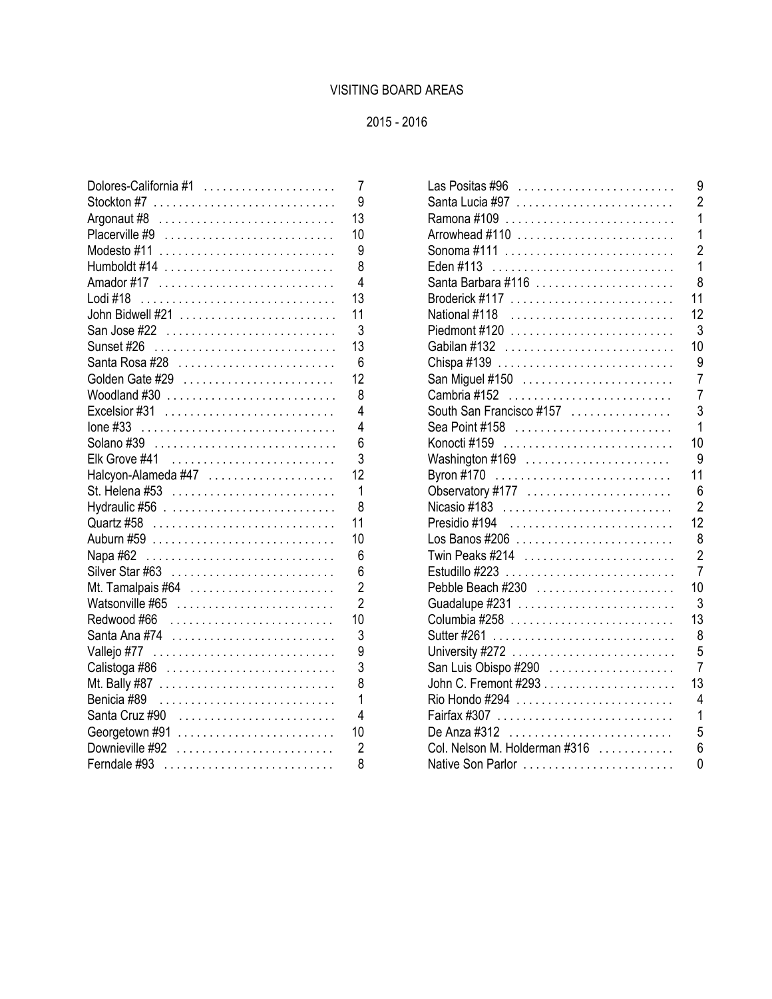# VISITING BOARD AREAS

# 2015 - 2016

| Dolores-California #1                                                        |
|------------------------------------------------------------------------------|
| Stockton #7 $\ldots \ldots \ldots \ldots \ldots \ldots \ldots \ldots \ldots$ |
| Argonaut #8 $\ldots \ldots \ldots \ldots \ldots \ldots \ldots \ldots$        |
|                                                                              |
|                                                                              |
|                                                                              |
|                                                                              |
|                                                                              |
| John Bidwell #21                                                             |
| San Jose #22                                                                 |
|                                                                              |
|                                                                              |
| Golden Gate #29                                                              |
| Woodland $\#30$                                                              |
| Excelsior #31 $\ldots \ldots \ldots \ldots \ldots \ldots \ldots \ldots$      |
|                                                                              |
| Solano #39                                                                   |
| Elk Grove #41                                                                |
| Halcyon-Alameda #47                                                          |
| St. Helena #53                                                               |
|                                                                              |
| Quartz #58                                                                   |
|                                                                              |
| Napa #62                                                                     |
|                                                                              |
|                                                                              |
| Watsonville #65                                                              |
|                                                                              |
| Santa Ana #74                                                                |
|                                                                              |
|                                                                              |
| Mt. Bally #87                                                                |
| Benicia #89                                                                  |
| Santa Cruz #90                                                               |
| Georgetown #91                                                               |
| Downieville #92                                                              |
| Ferndale #93                                                                 |

| Dolores-California #1                                                   | $\overline{7}$ | 9<br>Las Positas #96 $\dots\dots\dots\dots\dots\dots\dots\dots\dots$         |
|-------------------------------------------------------------------------|----------------|------------------------------------------------------------------------------|
|                                                                         | 9              | $\overline{2}$                                                               |
|                                                                         | 13             |                                                                              |
| Placerville #9                                                          | 10             | 1                                                                            |
|                                                                         | 9              | $\overline{2}$                                                               |
|                                                                         | 8              | Eden #113                                                                    |
|                                                                         | 4              | Santa Barbara #116<br>8                                                      |
| Lodi #18                                                                | 13             | 11                                                                           |
| John Bidwell #21                                                        | 11             | 12<br>National #118                                                          |
|                                                                         | 3              | 3<br>Piedmont #120 $\ldots \ldots \ldots \ldots \ldots \ldots \ldots \ldots$ |
| Sunset #26                                                              | 13             | 10<br>Gabilan #132                                                           |
|                                                                         | 6              | 9                                                                            |
| Golden Gate #29                                                         | 12             | 7                                                                            |
| Woodland $\#30$                                                         | 8              | 7                                                                            |
| Excelsior $\#31$                                                        | 4              | South San Francisco #157<br>3                                                |
| lone #33                                                                | 4              | Sea Point #158                                                               |
|                                                                         | 6              | 10                                                                           |
| Elk Grove #41                                                           | 3              | 9<br>Washington #169                                                         |
| Halcyon-Alameda #47                                                     | 12             | 11                                                                           |
|                                                                         | 1              | 6<br>Observatory #177                                                        |
|                                                                         | 8              | $\overline{2}$                                                               |
|                                                                         | 11             | 12                                                                           |
|                                                                         | 10             | 8                                                                            |
|                                                                         | 6              | $\overline{2}$                                                               |
|                                                                         | 6              | 7                                                                            |
| Mt. Tamalpais #64 $\ldots$                                              | $\overline{2}$ | Pebble Beach #230<br>10                                                      |
| Watsonville $\#65$                                                      | $\overline{2}$ | 3                                                                            |
|                                                                         | 10             | 13                                                                           |
|                                                                         | 3              | 8                                                                            |
|                                                                         | 9              | 5                                                                            |
| Calistoga #86 $\ldots \ldots \ldots \ldots \ldots \ldots \ldots \ldots$ | 3              | San Luis Obispo #290<br>7                                                    |
|                                                                         |                | 13                                                                           |
| Benicia #89                                                             | 1              | 4                                                                            |
| Santa Cruz #90                                                          | 4              | Fairfax #307<br>1                                                            |
| Georgetown $\#91$                                                       | 10             | 5                                                                            |
| Downieville $\#92$                                                      | $\overline{2}$ | Col. Nelson M. Holderman #316<br>6                                           |
|                                                                         | 8              | 0<br>Native Son Parlor                                                       |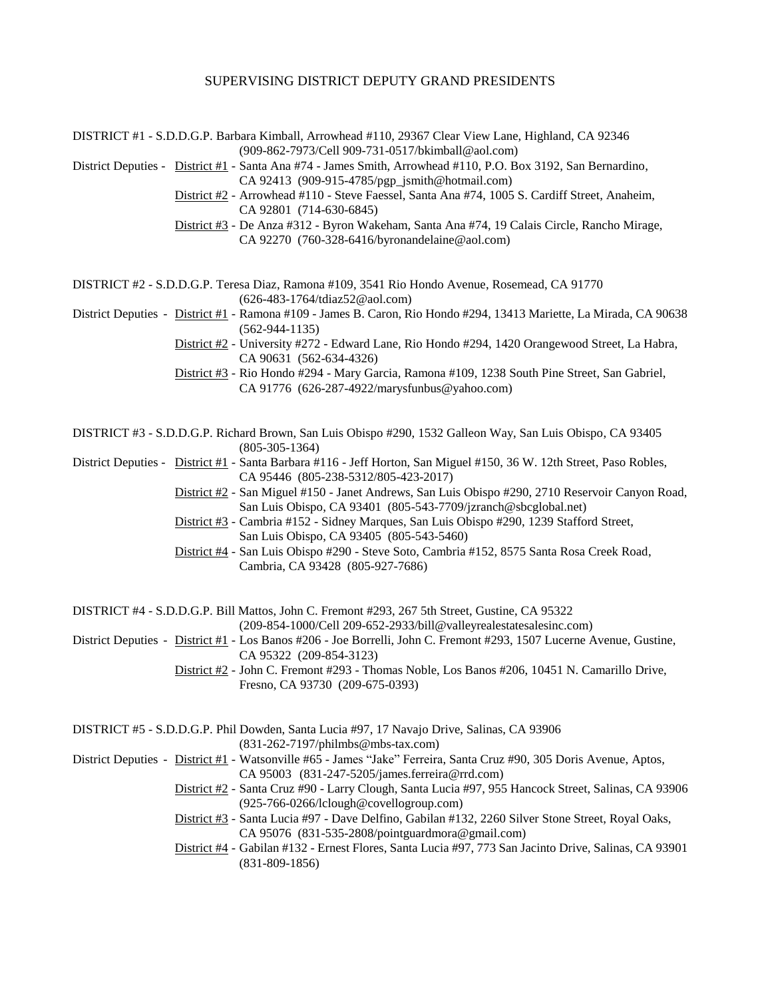#### SUPERVISING DISTRICT DEPUTY GRAND PRESIDENTS

DISTRICT #1 - S.D.D.G.P. Barbara Kimball, Arrowhead #110, 29367 Clear View Lane, Highland, CA 92346 (909-862-7973/Cell 909-731-0517/bkimball@aol.com)

District Deputies - District #1 - Santa Ana #74 - James Smith, Arrowhead #110, P.O. Box 3192, San Bernardino, CA 92413 [\(909-915-4785/pgp\\_jsmith@hotmail.com\)](mailto:909-862-7973/bkimball@aol.com)

District #2 - Arrowhead #110 - Steve Faessel, Santa Ana #74, 1005 S. Cardiff Street, Anaheim,

CA 92801 (714-630-6845)

District #3 - De Anza #312 - Byron Wakeham, Santa Ana #74, 19 Calais Circle, Rancho Mirage, CA 92270 (760-328-6416/byronandelaine@aol.com)

DISTRICT #2 - S.D.D.G.P. Teresa Diaz, Ramona #109, 3541 Rio Hondo Avenue, Rosemead, CA 91770 (626-483-1764/tdiaz52@aol.com)

District Deputies - District #1 - Ramona #109 - James B. Caron, Rio Hondo #294, 13413 Mariette, La Mirada, CA 90638 (562-944-1135)

District #2 - University #272 - Edward Lane, Rio Hondo #294, 1420 Orangewood Street, La Habra, CA 90631 (562-634-4326)

District #3 - Rio Hondo #294 - Mary Garcia, Ramona #109, 1238 South Pine Street, San Gabriel, CA 91776 (626-287-4922/marysfunbus@yahoo.com)

DISTRICT #3 - S.D.D.G.P. Richard Brown, San Luis Obispo #290, 1532 Galleon Way, San Luis Obispo, CA 93405 (805-305-1364)

District Deputies - District #1 - Santa Barbara #116 - Jeff Horton, San Miguel #150, 36 W. 12th Street, Paso Robles, CA 95446 (805-238-5312/805-423-2017)

District #2 - San Miguel #150 - Janet Andrews, San Luis Obispo #290, 2710 Reservoir Canyon Road, San Luis Obispo, CA 93401 (805-543-7709/jzranch@sbcglobal.net)

District #3 - Cambria #152 - Sidney Marques, San Luis Obispo #290, 1239 Stafford Street, San Luis Obispo, CA 93405 (805-543-5460)

District #4 - San Luis Obispo #290 - Steve Soto, Cambria #152, 8575 Santa Rosa Creek Road, Cambria, CA 93428 (805-927-7686)

DISTRICT #4 - S.D.D.G.P. Bill Mattos, John C. Fremont #293, 267 5th Street, Gustine, CA 95322

(209-854-1000/Cell 209-652-2933/bill@valleyrealestatesalesinc.com)

District Deputies - District #1 - Los Banos #206 - Joe Borrelli, John C. Fremont #293, 1507 Lucerne Avenue, Gustine, CA 95322 (209-854-3123)

> District #2 - John C. Fremont #293 - Thomas Noble, Los Banos #206, 10451 N. Camarillo Drive, Fresno, CA 93730 (209-675-0393)

DISTRICT #5 - S.D.D.G.P. Phil Dowden, Santa Lucia #97, 17 Navajo Drive, Salinas, CA 93906 (831-262-7197/philmbs@mbs-tax.com)

District Deputies - District #1 - Watsonville #65 - James "Jake" Ferreira, Santa Cruz #90, 305 Doris Avenue, Aptos, CA 95003 (831-247-5205/james.ferreira@rrd.com)

> District #2 - Santa Cruz #90 - Larry Clough, Santa Lucia #97, 955 Hancock Street, Salinas, CA 93906 (925-766-0266/lclough@covellogroup.com)

 District #3 - Santa Lucia #97 - Dave Delfino, Gabilan #132, 2260 Silver Stone Street, Royal Oaks, CA 95076 (831-535-2808/pointguardmora@gmail.com)

District #4 - Gabilan #132 - Ernest Flores, Santa Lucia #97, 773 San Jacinto Drive, Salinas, CA 93901 (831-809-1856)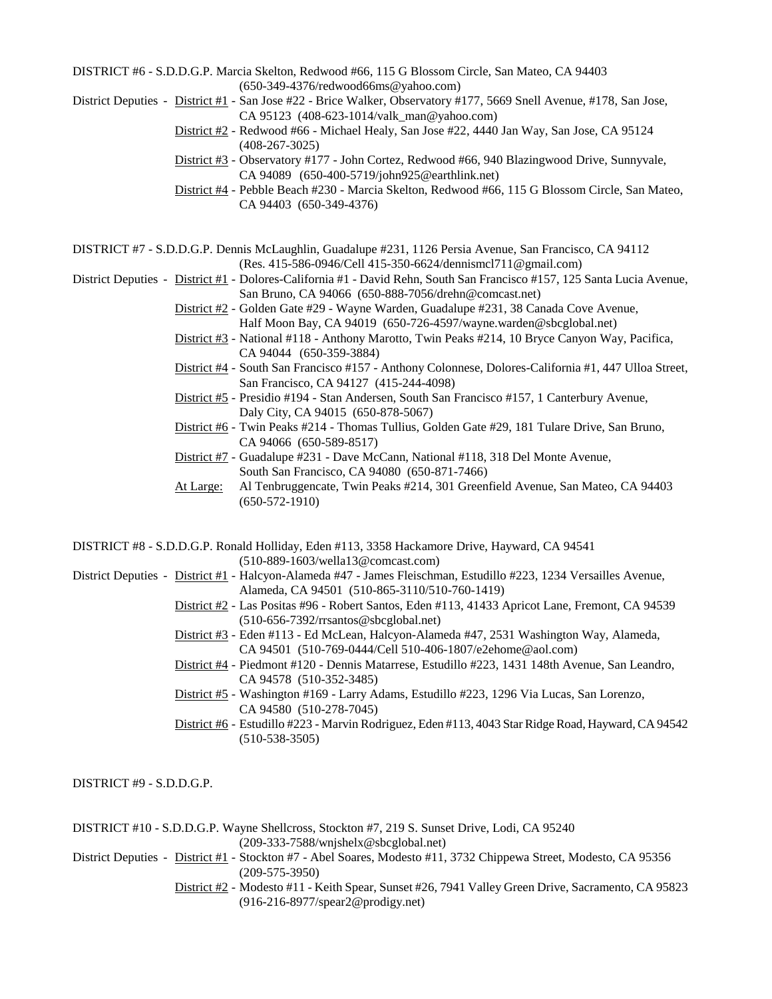DISTRICT #6 - S.D.D.G.P. Marcia Skelton, Redwood #66, 115 G Blossom Circle, San Mateo, CA 94403 (650-349-4376/redwood66ms@yahoo.com)

District Deputies - District #1 - San Jose #22 - Brice Walker, Observatory #177, 5669 Snell Avenue, #178, San Jose,

- CA 95123 (408-623-1014/valk\_man@yahoo.com) District #2 - Redwood #66 - Michael Healy, San Jose #22, 4440 Jan Way, San Jose, CA 95124 (408-267-3025)
- District #3 Observatory #177 John Cortez, Redwood #66, 940 Blazingwood Drive, Sunnyvale, CA 94089 (650-400-5719/john925@earthlink.net)
- District #4 Pebble Beach #230 Marcia Skelton, Redwood #66, 115 G Blossom Circle, San Mateo, CA 94403 (650-349-4376)

DISTRICT #7 - S.D.D.G.P. Dennis McLaughlin, Guadalupe #231, 1126 Persia Avenue, San Francisco, CA 94112 (Res. 415-586-0946/Cell 415-350-6624/dennismcl711@gmail.com)

District Deputies - District #1 - Dolores-California #1 - David Rehn, South San Francisco #157, 125 Santa Lucia Avenue, San Bruno, CA 94066 (650-888-7056/drehn@comcast.net)

- District #2 Golden Gate #29 Wayne Warden, Guadalupe #231, 38 Canada Cove Avenue, Half Moon Bay, CA 94019 (650-726-4597/wayne.warden@sbcglobal.net)
- District #3 National #118 Anthony Marotto, Twin Peaks #214, 10 Bryce Canyon Way, Pacifica, CA 94044 (650-359-3884)
- District #4 South San Francisco #157 Anthony Colonnese, Dolores-California #1, 447 Ulloa Street, San Francisco, CA 94127 (415-244-4098)
- District #5 Presidio #194 Stan Andersen, South San Francisco #157, 1 Canterbury Avenue, Daly City, CA 94015 (650-878-5067)
- District #6 Twin Peaks #214 Thomas Tullius, Golden Gate #29, 181 Tulare Drive, San Bruno, CA 94066 (650-589-8517)
- District #7 Guadalupe #231 Dave McCann, National #118, 318 Del Monte Avenue, South San Francisco, CA 94080 (650-871-7466)
- At Large: Al Tenbruggencate, Twin Peaks #214, 301 Greenfield Avenue, San Mateo, CA 94403 (650-572-1910)

DISTRICT #8 - S.D.D.G.P. Ronald Holliday, Eden #113, 3358 Hackamore Drive, Hayward, CA 94541 (510-889-1603/wella13@comcast.com)

- District Deputies District #1 Halcyon-Alameda #47 James Fleischman, Estudillo #223, 1234 Versailles Avenue, Alameda, CA 94501 (510-865-3110/510-760-1419)
	- District #2 Las Positas #96 Robert Santos, Eden #113, 41433 Apricot Lane, Fremont, CA 94539 (510-656-7392/rrsantos@sbcglobal.net)
	- District #3 Eden #113 Ed McLean, Halcyon-Alameda #47, 2531 Washington Way, Alameda, CA 94501 (510-769-0444/Cell 510-406-1807/e2ehome@aol.com)
	- District #4 Piedmont #120 Dennis Matarrese, Estudillo #223, 1431 148th Avenue, San Leandro, CA 94578 (510-352-3485)
	- District #5 Washington #169 Larry Adams, Estudillo #223, 1296 Via Lucas, San Lorenzo, CA 94580 (510-278-7045)
	- District #6 Estudillo #223 Marvin Rodriguez, Eden #113, 4043 Star Ridge Road, Hayward, CA 94542 (510-538-3505)

DISTRICT #9 - S.D.D.G.P.

DISTRICT #10 - S.D.D.G.P. Wayne Shellcross, Stockton #7, 219 S. Sunset Drive, Lodi, CA 95240 (209-333-7588/wnjshelx@sbcglobal.net)

- District Deputies District #1 Stockton #7 Abel Soares, Modesto #11, 3732 Chippewa Street, Modesto, CA 95356 (209-575-3950)
	- District #2 Modesto #11 Keith Spear, Sunset #26, 7941 Valley Green Drive, Sacramento, CA 95823 (916-216-8977/spear2@prodigy.net)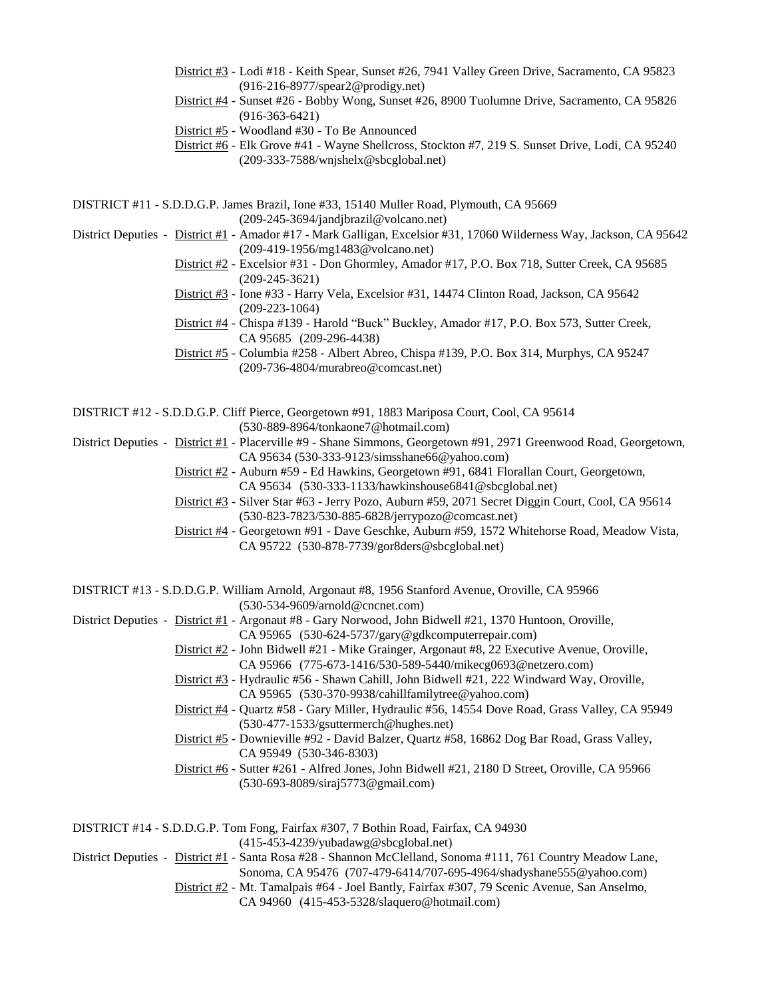- District #3 Lodi #18 Keith Spear, Sunset #26, 7941 Valley Green Drive, Sacramento, CA 95823 (916-216-8977/spear2@prodigy.net)
- District #4 Sunset #26 Bobby Wong, Sunset #26, 8900 Tuolumne Drive, Sacramento, CA 95826 (916-363-6421)
- District #5 Woodland #30 To Be Announced
- District #6 Elk Grove #41 Wayne Shellcross, Stockton #7, 219 S. Sunset Drive, Lodi, CA 95240 (209-333-7588/wnjshelx@sbcglobal.net)

DISTRICT #11 - S.D.D.G.P. James Brazil, Ione #33, 15140 Muller Road, Plymouth, CA 95669 (209-245-3694/jandjbrazil@volcano.net)

- District Deputies District #1 Amador #17 Mark Galligan, Excelsior #31, 17060 Wilderness Way, Jackson, CA 95642 (209-419-1956/mg1483@volcano.net)
	- District #2 Excelsior #31 Don Ghormley, Amador #17, P.O. Box 718, Sutter Creek, CA 95685 (209-245-3621)
	- District #3 Ione #33 Harry Vela, Excelsior #31, 14474 Clinton Road, Jackson, CA 95642 (209-223-1064)
	- District #4 Chispa #139 Harold "Buck" Buckley, Amador #17, P.O. Box 573, Sutter Creek, CA 95685 (209-296-4438)
	- District #5 Columbia #258 Albert Abreo, Chispa #139, P.O. Box 314, Murphys, CA 95247 (209-736-4804/murabreo@comcast.net)

DISTRICT #12 - S.D.D.G.P. Cliff Pierce, Georgetown #91, 1883 Mariposa Court, Cool, CA 95614 (530-889-8964/tonkaone7@hotmail.com)

- District Deputies District #1 Placerville #9 Shane Simmons, Georgetown #91, 2971 Greenwood Road, Georgetown, CA 95634 (530-333-9123/simsshane66@yahoo.com)
	- District #2 Auburn #59 Ed Hawkins, Georgetown #91, 6841 Florallan Court, Georgetown, CA 95634 (530-333-1133/hawkinshouse6841@sbcglobal.net)
	- District #3 Silver Star #63 Jerry Pozo, Auburn #59, 2071 Secret Diggin Court, Cool, CA 95614 (530-823-7823/530-885-6828/jerrypozo@comcast.net)
	- District #4 Georgetown #91 Dave Geschke, Auburn #59, 1572 Whitehorse Road, Meadow Vista, CA 95722 (530-878-7739/gor8ders@sbcglobal.net)

DISTRICT #13 - S.D.D.G.P. William Arnold, Argonaut #8, 1956 Stanford Avenue, Oroville, CA 95966 (530-534-9609/arnold@cncnet.com)

- District Deputies District #1 Argonaut #8 Gary Norwood, John Bidwell #21, 1370 Huntoon, Oroville,
	- CA 95965 (530-624-5737/gary@gdkcomputerrepair.com)
	- District #2 John Bidwell #21 Mike Grainger, Argonaut #8, 22 Executive Avenue, Oroville, CA 95966 (775-673-1416/530-589-5440/mikecg0693@netzero.com)
	- District #3 Hydraulic #56 Shawn Cahill, John Bidwell #21, 222 Windward Way, Oroville, CA 95965 (530-370-9938/cahillfamilytree@yahoo.com)
	- District #4 Quartz #58 Gary Miller, Hydraulic #56, 14554 Dove Road, Grass Valley, CA 95949 (530-477-1533/gsuttermerch@hughes.net)
	- District #5 Downieville #92 David Balzer, Quartz #58, 16862 Dog Bar Road, Grass Valley, CA 95949 (530-346-8303)
	- District #6 Sutter #261 Alfred Jones, John Bidwell #21, 2180 D Street, Oroville, CA 95966 (530-693-8089/siraj5773@gmail.com)

| DISTRICT #14 - S.D.D.G.P. Tom Fong, Fairfax #307, 7 Bothin Road, Fairfax, CA 94930                           |
|--------------------------------------------------------------------------------------------------------------|
| $(415-453-4239/\nu \theta \text{adawg} \omega \text{sbcglobal.net})$                                         |
| District Deputies - District #1 - Santa Rosa #28 - Shannon McClelland, Sonoma #111, 761 Country Meadow Lane, |
| Sonoma, CA 95476 (707-479-6414/707-695-4964/shadyshane555@yahoo.com)                                         |
| District #2 - Mt. Tamalpais #64 - Joel Bantly, Fairfax #307, 79 Scenic Avenue, San Anselmo,                  |
| CA 94960 (415-453-5328/slaquero@hotmail.com)                                                                 |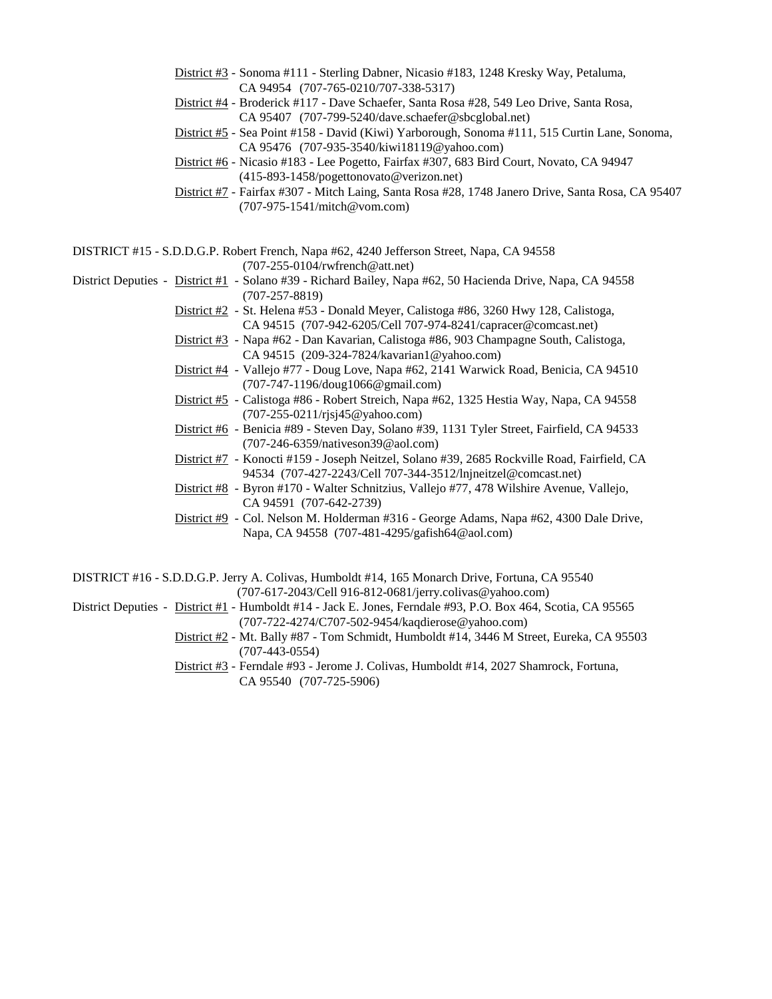- District #3 Sonoma #111 Sterling Dabner, Nicasio #183, 1248 Kresky Way, Petaluma, CA 94954 (707-765-0210/707-338-5317)
- District #4 Broderick #117 Dave Schaefer, Santa Rosa #28, 549 Leo Drive, Santa Rosa, CA 95407 (707-799-5240/dave.schaefer@sbcglobal.net)
- District #5 Sea Point #158 David (Kiwi) Yarborough, Sonoma #111, 515 Curtin Lane, Sonoma, CA 95476 (707-935-3540/kiwi18119@yahoo.com)
- District #6 Nicasio #183 Lee Pogetto, Fairfax #307, 683 Bird Court, Novato, CA 94947 (415-893-1458/pogettonovato@verizon.net)
- District #7 Fairfax #307 Mitch Laing, Santa Rosa #28, 1748 Janero Drive, Santa Rosa, CA 95407 (707-975-1541/mitch@vom.com)

DISTRICT #15 - S.D.D.G.P. Robert French, Napa #62, 4240 Jefferson Street, Napa, CA 94558 (707-255-0104/rwfrench@att.net)

- District Deputies District #1 Solano #39 Richard Bailey, Napa #62, 50 Hacienda Drive, Napa, CA 94558 (707-257-8819)
	- District #2 St. Helena #53 Donald Meyer, Calistoga #86, 3260 Hwy 128, Calistoga, CA 94515 (707-942-6205/Cell 707-974-8241/capracer@comcast.net)
	- District #3 Napa #62 Dan Kavarian, Calistoga #86, 903 Champagne South, Calistoga, CA 94515 (209-324-7824/kavarian1@yahoo.com)
	- District #4 Vallejo #77 Doug Love, Napa #62, 2141 Warwick Road, Benicia, CA 94510 (707-747-1196/doug1066@gmail.com)
	- District #5 Calistoga #86 Robert Streich, Napa #62, 1325 Hestia Way, Napa, CA 94558 (707-255-0211/rjsj45@yahoo.com)
	- District #6 Benicia #89 Steven Day, Solano #39, 1131 Tyler Street, Fairfield, CA 94533 (707-246-6359/nativeson39@aol.com)
	- District #7 Konocti #159 Joseph Neitzel, Solano #39, 2685 Rockville Road, Fairfield, CA 94534 (707-427-2243/Cell 707-344-3512/lnjneitzel@comcast.net)
	- District #8 Byron #170 Walter Schnitzius, Vallejo #77, 478 Wilshire Avenue, Vallejo, CA 94591 (707-642-2739)
	- District #9 Col. Nelson M. Holderman #316 George Adams, Napa #62, 4300 Dale Drive, Napa, CA 94558 (707-481-4295/gafish64@aol.com)

DISTRICT #16 - S.D.D.G.P. Jerry A. Colivas, Humboldt #14, 165 Monarch Drive, Fortuna, CA 95540 (707-617-2043/Cell 916-812-0681/jerry.colivas@yahoo.com)

- District Deputies District #1 Humboldt #14 Jack E. Jones, Ferndale #93, P.O. Box 464, Scotia, CA 95565 (707-722-4274/C707-502-9454/kaqdierose@yahoo.com)
	- District #2 Mt. Bally #87 Tom Schmidt, Humboldt #14, 3446 M Street, Eureka, CA 95503 (707-443-0554)
	- District #3 Ferndale #93 Jerome J. Colivas, Humboldt #14, 2027 Shamrock, Fortuna, CA 95540 (707-725-5906)